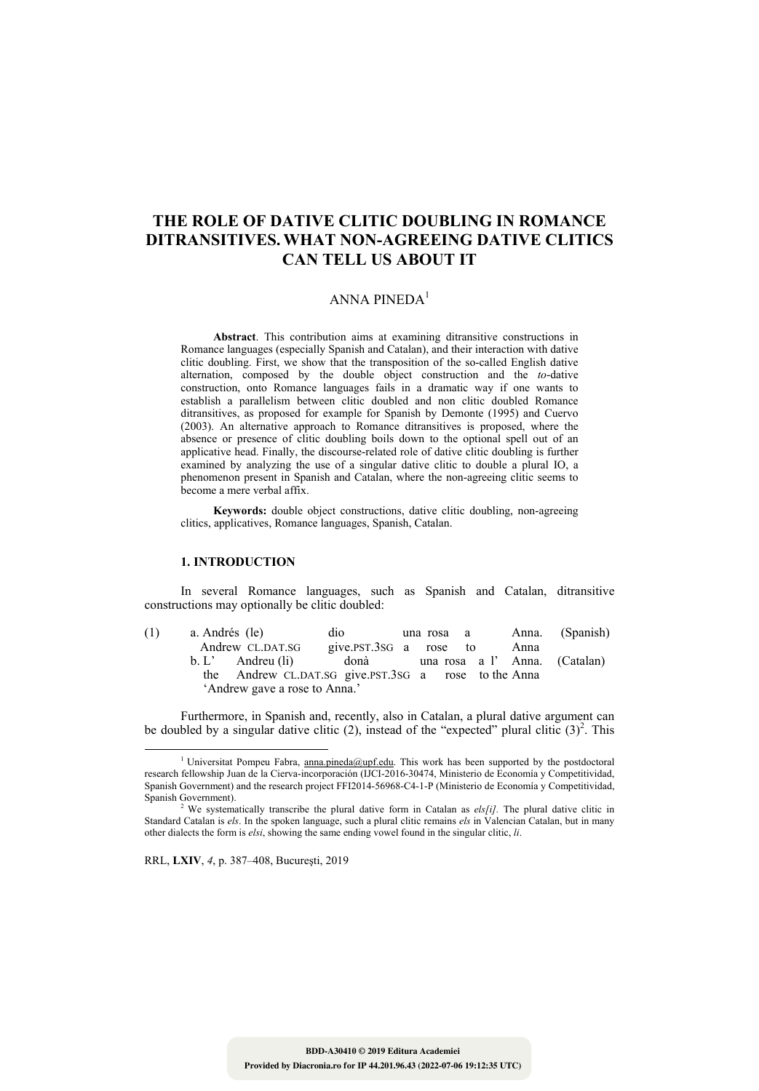# **THE ROLE OF DATIVE CLITIC DOUBLING IN ROMANCE DITRANSITIVES. WHAT NON-AGREEING DATIVE CLITICS CAN TELL US ABOUT IT**

## ANNA PINEDA $1$

**Abstract**. This contribution aims at examining ditransitive constructions in Romance languages (especially Spanish and Catalan), and their interaction with dative clitic doubling. First, we show that the transposition of the so-called English dative alternation, composed by the double object construction and the *to*-dative construction, onto Romance languages fails in a dramatic way if one wants to establish a parallelism between clitic doubled and non clitic doubled Romance ditransitives, as proposed for example for Spanish by Demonte (1995) and Cuervo (2003). An alternative approach to Romance ditransitives is proposed, where the absence or presence of clitic doubling boils down to the optional spell out of an applicative head. Finally, the discourse-related role of dative clitic doubling is further examined by analyzing the use of a singular dative clitic to double a plural IO, a phenomenon present in Spanish and Catalan, where the non-agreeing clitic seems to become a mere verbal affix.

**Keywords:** double object constructions, dative clitic doubling, non-agreeing clitics, applicatives, Romance languages, Spanish, Catalan.

## **1. INTRODUCTION**

In several Romance languages, such as Spanish and Catalan, ditransitive constructions may optionally be clitic doubled:

| (1) | a. Andrés (le) |                                                      | dio                               |  | una rosa a |  |      | Anna. (Spanish) |
|-----|----------------|------------------------------------------------------|-----------------------------------|--|------------|--|------|-----------------|
|     |                | Andrew CL.DAT.SG                                     | give.pst.3sG a rose to            |  |            |  | Anna |                 |
|     |                | $b. L'$ Andreu (li)                                  | donà una rosa a l'Anna. (Catalan) |  |            |  |      |                 |
|     |                | the Andrew CL.DAT.SG give.PST.3SG a rose to the Anna |                                   |  |            |  |      |                 |
|     |                | 'Andrew gave a rose to Anna.'                        |                                   |  |            |  |      |                 |

Furthermore, in Spanish and, recently, also in Catalan, a plural dative argument can be doubled by a singular dative clitic (2), instead of the "expected" plural clitic  $(3)^2$ . This

RRL, **LXIV**, *4*, p. 387–408, Bucureşti, 2019

<u> 1989 - Johann Barn, mars eta bainar eta industrial eta bainar eta baina eta baina eta baina eta baina eta ba</u>

<sup>&</sup>lt;sup>1</sup> Universitat Pompeu Fabra, anna.pineda@upf.edu. This work has been supported by the postdoctoral research fellowship Juan de la Cierva-incorporación (IJCI-2016-30474, Ministerio de Economía y Competitividad, Spanish Government) and the research project FFI2014-56968-C4-1-P (Ministerio de Economía y Competitividad, Spanish Government).

We systematically transcribe the plural dative form in Catalan as *els[i]*. The plural dative clitic in Standard Catalan is *els*. In the spoken language, such a plural clitic remains *els* in Valencian Catalan, but in many other dialects the form is *elsi*, showing the same ending vowel found in the singular clitic, *li*.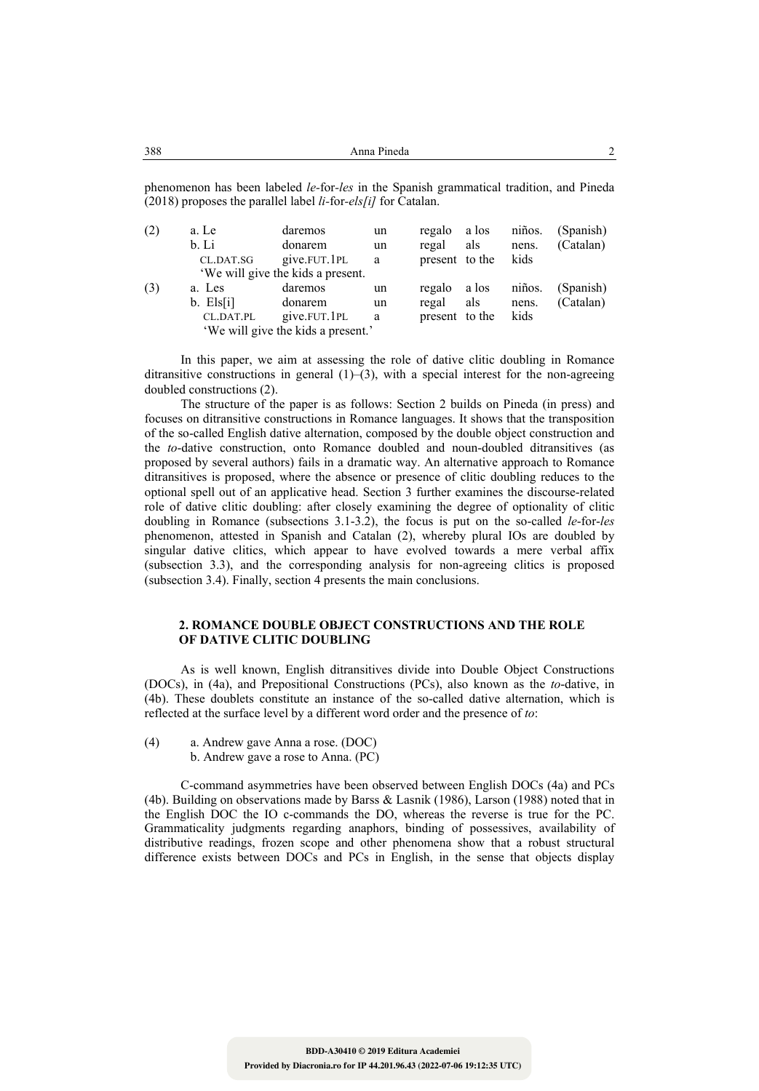| 388 |  |  |  |  | $\sim$ .<br>Anna Pineda                               |  |  |           |        |  |  |  |  |  |                |  |
|-----|--|--|--|--|-------------------------------------------------------|--|--|-----------|--------|--|--|--|--|--|----------------|--|
|     |  |  |  |  |                                                       |  |  |           |        |  |  |  |  |  |                |  |
|     |  |  |  |  | $\begin{array}{cccccccc}\n1 & 1 & 1 & 0\n\end{array}$ |  |  | $\cdot$ 1 | $\sim$ |  |  |  |  |  | $1 \mathbf{p}$ |  |

phenomenon has been labeled *le-*for*-les* in the Spanish grammatical tradition, and Pineda (2018) proposes the parallel label *li-*for*-els[i]* for Catalan.

| (2) | a. Le                              | daremos                           | un | regalo a los   |       | niños. | (Spanish) |  |  |  |
|-----|------------------------------------|-----------------------------------|----|----------------|-------|--------|-----------|--|--|--|
|     | b. Li                              | donarem                           | un | regal          | als   | nens.  | (Catalan) |  |  |  |
|     | CL.DAT.SG                          | give.FUT.1PL                      | a  | present to the |       | kids   |           |  |  |  |
|     |                                    | 'We will give the kids a present. |    |                |       |        |           |  |  |  |
| (3) | a. Les                             | daremos                           | un | regalo         | a los | niños. | (Spanish) |  |  |  |
|     | $b.$ Els[i]                        | donarem                           | un | regal          | als   | nens.  | (Catalan) |  |  |  |
|     | CL.DAT.PL                          | give.FUT.1PL                      | a  | present to the |       | kids   |           |  |  |  |
|     | 'We will give the kids a present.' |                                   |    |                |       |        |           |  |  |  |

In this paper, we aim at assessing the role of dative clitic doubling in Romance ditransitive constructions in general  $(1)$ – $(3)$ , with a special interest for the non-agreeing doubled constructions (2).

The structure of the paper is as follows: Section 2 builds on Pineda (in press) and focuses on ditransitive constructions in Romance languages. It shows that the transposition of the so-called English dative alternation, composed by the double object construction and the *to*-dative construction, onto Romance doubled and noun-doubled ditransitives (as proposed by several authors) fails in a dramatic way. An alternative approach to Romance ditransitives is proposed, where the absence or presence of clitic doubling reduces to the optional spell out of an applicative head. Section 3 further examines the discourse-related role of dative clitic doubling: after closely examining the degree of optionality of clitic doubling in Romance (subsections 3.1-3.2), the focus is put on the so-called *le*-for-*les* phenomenon, attested in Spanish and Catalan (2), whereby plural IOs are doubled by singular dative clitics, which appear to have evolved towards a mere verbal affix (subsection 3.3), and the corresponding analysis for non-agreeing clitics is proposed (subsection 3.4). Finally, section 4 presents the main conclusions.

#### **2. ROMANCE DOUBLE OBJECT CONSTRUCTIONS AND THE ROLE OF DATIVE CLITIC DOUBLING**

As is well known, English ditransitives divide into Double Object Constructions (DOCs), in (4a), and Prepositional Constructions (PCs), also known as the *to*-dative, in (4b). These doublets constitute an instance of the so-called dative alternation, which is reflected at the surface level by a different word order and the presence of *to*:

(4) a. Andrew gave Anna a rose. (DOC) b. Andrew gave a rose to Anna. (PC)

C-command asymmetries have been observed between English DOCs (4a) and PCs (4b). Building on observations made by Barss & Lasnik (1986), Larson (1988) noted that in the English DOC the IO c-commands the DO, whereas the reverse is true for the PC. Grammaticality judgments regarding anaphors, binding of possessives, availability of distributive readings, frozen scope and other phenomena show that a robust structural difference exists between DOCs and PCs in English, in the sense that objects display

**Provided by Diacronia.ro for IP 44.201.96.43 (2022-07-06 19:12:35 UTC)**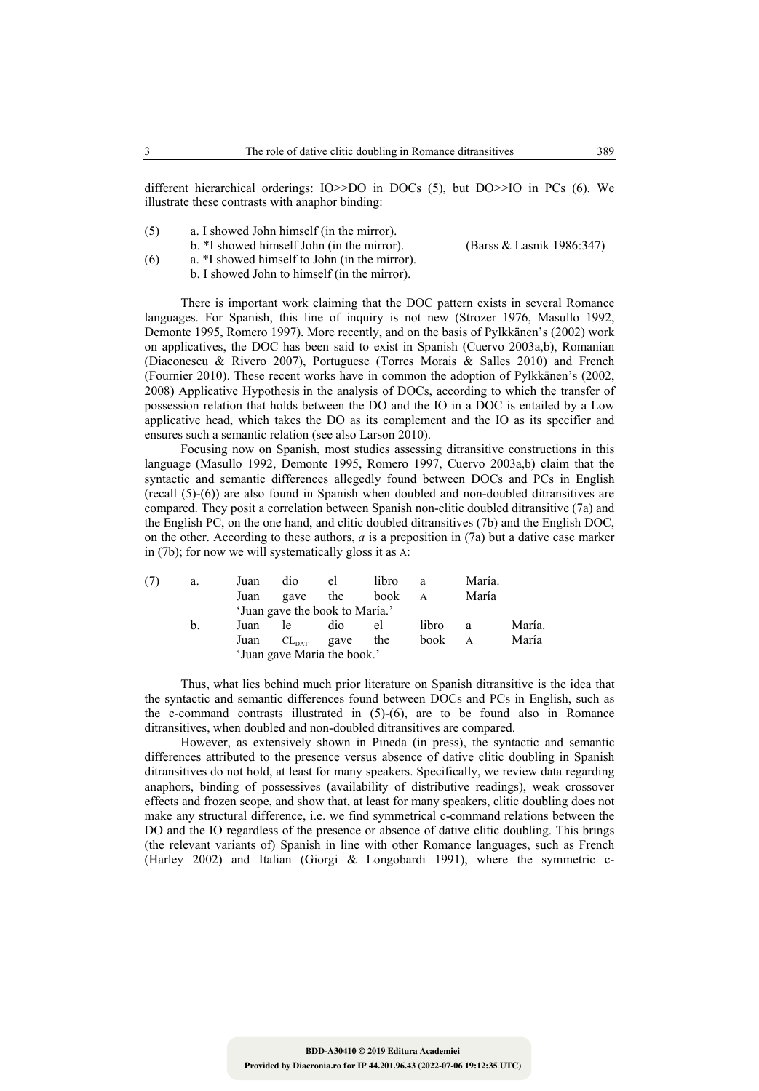different hierarchical orderings: IO>>DO in DOCs (5), but DO>>IO in PCs (6). We illustrate these contrasts with anaphor binding:

- (5) a. I showed John himself (in the mirror).
- b. \*I showed himself John (in the mirror). (Barss & Lasnik 1986:347)<br>
(6) a. \*I showed himself to John (in the mirror). a. \*I showed himself to John (in the mirror).
	- b. I showed John to himself (in the mirror).

There is important work claiming that the DOC pattern exists in several Romance languages. For Spanish, this line of inquiry is not new (Strozer 1976, Masullo 1992, Demonte 1995, Romero 1997). More recently, and on the basis of Pylkkänen's (2002) work on applicatives, the DOC has been said to exist in Spanish (Cuervo 2003a,b), Romanian (Diaconescu & Rivero 2007), Portuguese (Torres Morais & Salles 2010) and French (Fournier 2010). These recent works have in common the adoption of Pylkkänen's (2002, 2008) Applicative Hypothesis in the analysis of DOCs, according to which the transfer of possession relation that holds between the DO and the IO in a DOC is entailed by a Low applicative head, which takes the DO as its complement and the IO as its specifier and ensures such a semantic relation (see also Larson 2010).

Focusing now on Spanish, most studies assessing ditransitive constructions in this language (Masullo 1992, Demonte 1995, Romero 1997, Cuervo 2003a,b) claim that the syntactic and semantic differences allegedly found between DOCs and PCs in English (recall (5)-(6)) are also found in Spanish when doubled and non-doubled ditransitives are compared. They posit a correlation between Spanish non-clitic doubled ditransitive (7a) and the English PC, on the one hand, and clitic doubled ditransitives (7b) and the English DOC, on the other. According to these authors, *a* is a preposition in (7a) but a dative case marker in (7b); for now we will systematically gloss it as A:

| (7) | a.             | Juan | dio                            | el               | libro | a     | María. |        |
|-----|----------------|------|--------------------------------|------------------|-------|-------|--------|--------|
|     |                | Juan | gave                           | the              | book  | A     | María  |        |
|     |                |      | 'Juan gave the book to María.' |                  |       |       |        |        |
|     | $\mathbf{b}$ . | Juan | Te.                            | dio              | el    | libro | a      | María. |
|     |                | Juan |                                | $CL_{DATA}$ gave | the   | book  | A      | María  |
|     |                |      | 'Juan gave María the book.'    |                  |       |       |        |        |

Thus, what lies behind much prior literature on Spanish ditransitive is the idea that the syntactic and semantic differences found between DOCs and PCs in English, such as the c-command contrasts illustrated in (5)-(6), are to be found also in Romance ditransitives, when doubled and non-doubled ditransitives are compared.

However, as extensively shown in Pineda (in press), the syntactic and semantic differences attributed to the presence versus absence of dative clitic doubling in Spanish ditransitives do not hold, at least for many speakers. Specifically, we review data regarding anaphors, binding of possessives (availability of distributive readings), weak crossover effects and frozen scope, and show that, at least for many speakers, clitic doubling does not make any structural difference, i.e. we find symmetrical c-command relations between the DO and the IO regardless of the presence or absence of dative clitic doubling. This brings (the relevant variants of) Spanish in line with other Romance languages, such as French (Harley 2002) and Italian (Giorgi & Longobardi 1991), where the symmetric c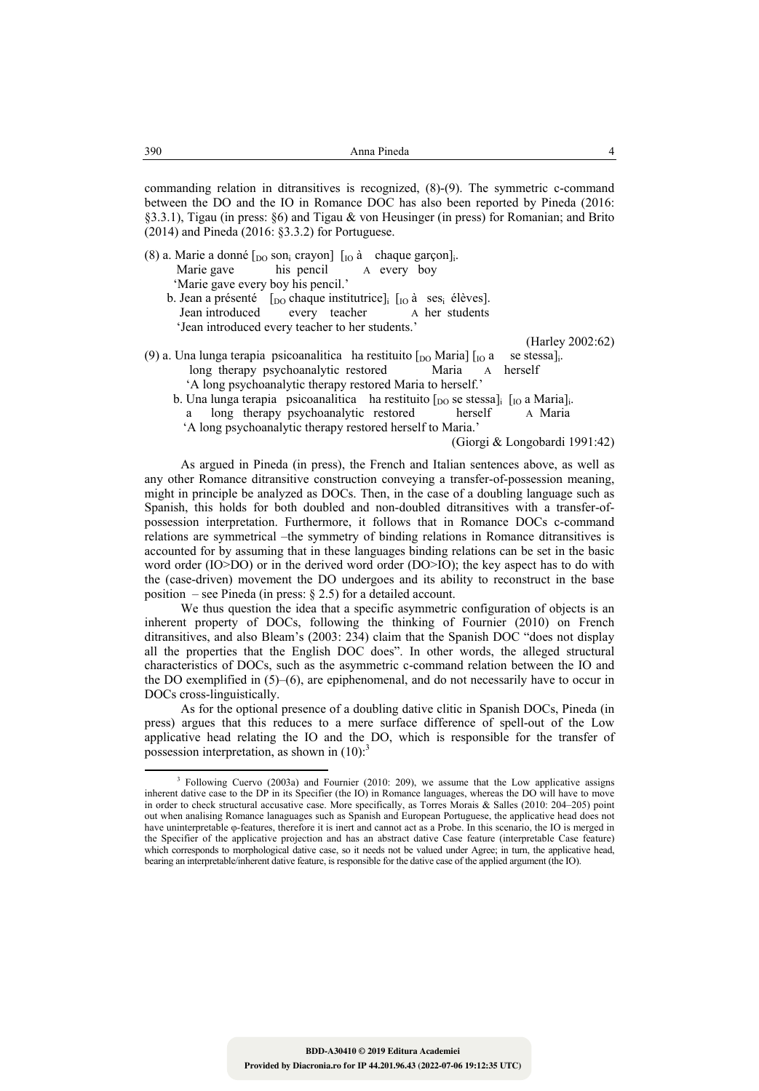commanding relation in ditransitives is recognized, (8)-(9). The symmetric c-command between the DO and the IO in Romance DOC has also been reported by Pineda (2016: §3.3.1), Tigau (in press: §6) and Tigau & von Heusinger (in press) for Romanian; and Brito (2014) and Pineda (2016: §3.3.2) for Portuguese.

- (8) a. Marie a donné  $\begin{bmatrix} 0 & \text{non} \\ 0 & \text{non} \end{bmatrix}$   $\begin{bmatrix} 1 & \text{non} \\ 0 & \text{non} \end{bmatrix}$  a chaque garçon]<sub>i</sub>.<br>Marie gave his pencil A every boy A every boy 'Marie gave every boy his pencil.'
	- b. Jean a présenté  $\begin{bmatrix} 1_{\text{DO}} \text{ chaque institute} \end{bmatrix}$   $\begin{bmatrix} 1_{\text{IO}} \text{à } \text{ses}_i \end{bmatrix}$  devers be every teacher a her students every teacher 'Jean introduced every teacher to her students.'

(Harley 2002:62)

- (9) a. Una lunga terapia psicoanalitica ha restituito  $[$ <sub>DO</sub> Maria]  $[$ <sub>IO</sub> a se stessa]<sub>i</sub>. long therapy psychoanalytic restored Maria A herself 'A long psychoanalytic therapy restored Maria to herself.'
	- b. Una lunga terapia psicoanalitica ha restituito  $\lceil_{\text{DO}}$  se stessa $\lceil_{\text{IO}}$  a Maria $\lceil_{\text{I}}$ .

a long therapy psychoanalytic restored herself A Maria

'A long psychoanalytic therapy restored herself to Maria.'

(Giorgi & Longobardi 1991:42)

As argued in Pineda (in press), the French and Italian sentences above, as well as any other Romance ditransitive construction conveying a transfer-of-possession meaning, might in principle be analyzed as DOCs. Then, in the case of a doubling language such as Spanish, this holds for both doubled and non-doubled ditransitives with a transfer-ofpossession interpretation. Furthermore, it follows that in Romance DOCs c-command relations are symmetrical –the symmetry of binding relations in Romance ditransitives is accounted for by assuming that in these languages binding relations can be set in the basic word order (IO>DO) or in the derived word order (DO>IO); the key aspect has to do with the (case-driven) movement the DO undergoes and its ability to reconstruct in the base position – see Pineda (in press:  $\S 2.5$ ) for a detailed account.

We thus question the idea that a specific asymmetric configuration of objects is an inherent property of DOCs, following the thinking of Fournier (2010) on French ditransitives, and also Bleam's (2003: 234) claim that the Spanish DOC "does not display all the properties that the English DOC does". In other words, the alleged structural characteristics of DOCs, such as the asymmetric c-command relation between the IO and the DO exemplified in (5)–(6), are epiphenomenal, and do not necessarily have to occur in DOCs cross-linguistically.

As for the optional presence of a doubling dative clitic in Spanish DOCs, Pineda (in press) argues that this reduces to a mere surface difference of spell-out of the Low applicative head relating the IO and the DO, which is responsible for the transfer of possession interpretation, as shown in  $(10)$ :<sup>3</sup>

<sup>&</sup>lt;sup>3</sup> Following Cuervo (2003a) and Fournier (2010: 209), we assume that the Low applicative assigns inherent dative case to the DP in its Specifier (the IO) in Romance languages, whereas the DO will have to move in order to check structural accusative case. More specifically, as Torres Morais & Salles (2010: 204–205) point out when analising Romance lanaguages such as Spanish and European Portuguese, the applicative head does not have uninterpretable φ-features, therefore it is inert and cannot act as a Probe. In this scenario, the IO is merged in the Specifier of the applicative projection and has an abstract dative Case feature (interpretable Case feature) which corresponds to morphological dative case, so it needs not be valued under Agree; in turn, the applicative head, bearing an interpretable/inherent dative feature, is responsible for the dative case of the applied argument (the IO).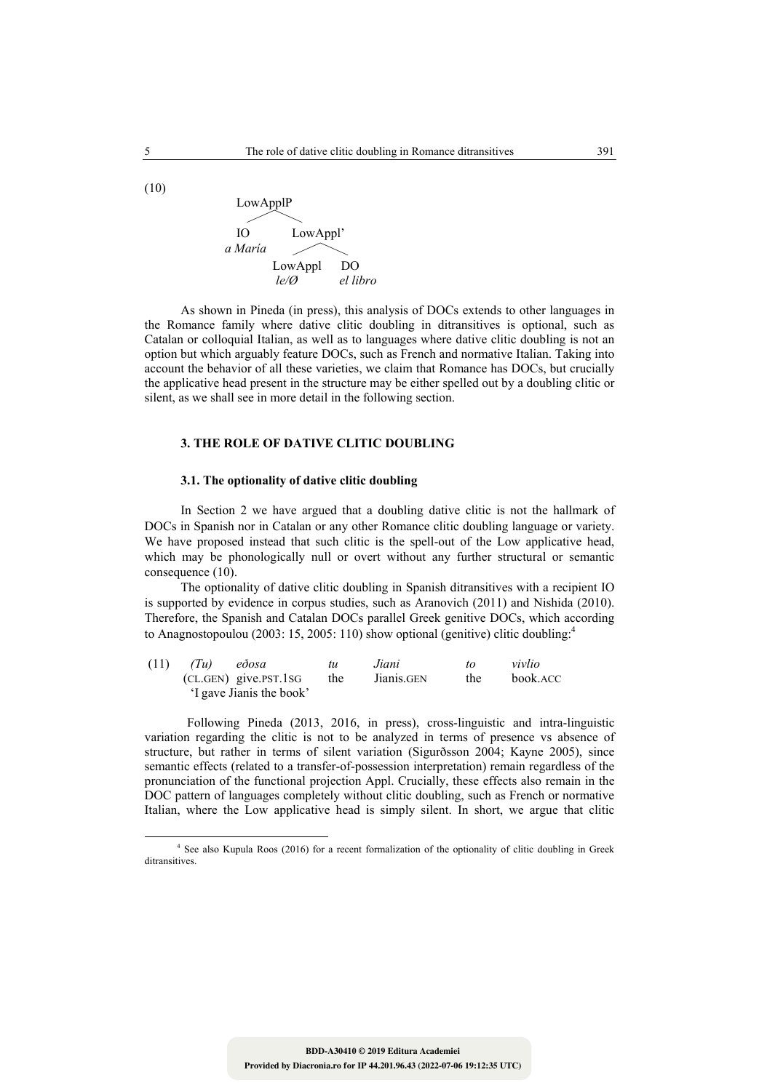LowApplP 3 IO LowAppl'  *a María*  LowAppl DO 3*le/Ø el libro* 

As shown in Pineda (in press), this analysis of DOCs extends to other languages in the Romance family where dative clitic doubling in ditransitives is optional, such as Catalan or colloquial Italian, as well as to languages where dative clitic doubling is not an option but which arguably feature DOCs, such as French and normative Italian. Taking into account the behavior of all these varieties, we claim that Romance has DOCs, but crucially the applicative head present in the structure may be either spelled out by a doubling clitic or silent, as we shall see in more detail in the following section.

## **3. THE ROLE OF DATIVE CLITIC DOUBLING**

## **3.1. The optionality of dative clitic doubling**

In Section 2 we have argued that a doubling dative clitic is not the hallmark of DOCs in Spanish nor in Catalan or any other Romance clitic doubling language or variety. We have proposed instead that such clitic is the spell-out of the Low applicative head, which may be phonologically null or overt without any further structural or semantic consequence (10).

The optionality of dative clitic doubling in Spanish ditransitives with a recipient IO is supported by evidence in corpus studies, such as Aranovich (2011) and Nishida (2010). Therefore, the Spanish and Catalan DOCs parallel Greek genitive DOCs, which according to Anagnostopoulou (2003: 15, 2005: 110) show optional (genitive) clitic doubling:<sup>4</sup>

| (11) | (Tu) | edosa                    | tu  | Jiani      | tΩ  | vivlio   |
|------|------|--------------------------|-----|------------|-----|----------|
|      |      | $(CL.GEN)$ give.PST.1SG  | the | Jianis.GEN | the | book.ACC |
|      |      | 'I gave Jianis the book' |     |            |     |          |

 Following Pineda (2013, 2016, in press), cross-linguistic and intra-linguistic variation regarding the clitic is not to be analyzed in terms of presence vs absence of structure, but rather in terms of silent variation (Sigurðsson 2004; Kayne 2005), since semantic effects (related to a transfer-of-possession interpretation) remain regardless of the pronunciation of the functional projection Appl. Crucially, these effects also remain in the DOC pattern of languages completely without clitic doubling, such as French or normative Italian, where the Low applicative head is simply silent. In short, we argue that clitic

 <sup>4</sup> See also Kupula Roos (2016) for a recent formalization of the optionality of clitic doubling in Greek ditransitives.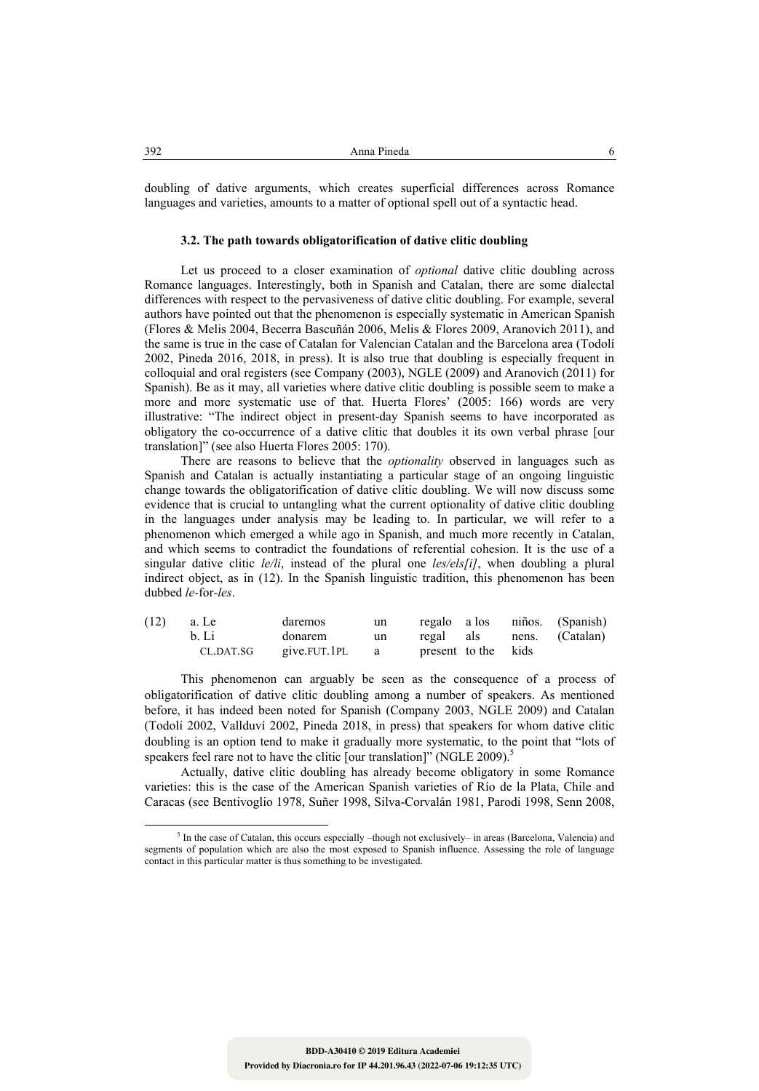doubling of dative arguments, which creates superficial differences across Romance languages and varieties, amounts to a matter of optional spell out of a syntactic head.

#### **3.2. The path towards obligatorification of dative clitic doubling**

Let us proceed to a closer examination of *optional* dative clitic doubling across Romance languages. Interestingly, both in Spanish and Catalan, there are some dialectal differences with respect to the pervasiveness of dative clitic doubling. For example, several authors have pointed out that the phenomenon is especially systematic in American Spanish (Flores & Melis 2004, Becerra Bascuñán 2006, Melis & Flores 2009, Aranovich 2011), and the same is true in the case of Catalan for Valencian Catalan and the Barcelona area (Todolí 2002, Pineda 2016, 2018, in press). It is also true that doubling is especially frequent in colloquial and oral registers (see Company (2003), NGLE (2009) and Aranovich (2011) for Spanish). Be as it may, all varieties where dative clitic doubling is possible seem to make a more and more systematic use of that. Huerta Flores' (2005: 166) words are very illustrative: "The indirect object in present-day Spanish seems to have incorporated as obligatory the co-occurrence of a dative clitic that doubles it its own verbal phrase [our translation]" (see also Huerta Flores 2005: 170).

There are reasons to believe that the *optionality* observed in languages such as Spanish and Catalan is actually instantiating a particular stage of an ongoing linguistic change towards the obligatorification of dative clitic doubling. We will now discuss some evidence that is crucial to untangling what the current optionality of dative clitic doubling in the languages under analysis may be leading to. In particular, we will refer to a phenomenon which emerged a while ago in Spanish, and much more recently in Catalan, and which seems to contradict the foundations of referential cohesion. It is the use of a singular dative clitic *le/li*, instead of the plural one *les/els[i]*, when doubling a plural indirect object, as in (12). In the Spanish linguistic tradition, this phenomenon has been dubbed *le-*for*-les*.

| (12) | a. Le     | daremos      | un |                     |  | regalo a los niños. (Spanish) |
|------|-----------|--------------|----|---------------------|--|-------------------------------|
|      | b. Li     | donarem      | un |                     |  | regal als nens. (Catalan)     |
|      | CL.DAT.SG | give.FUT.1PL | a  | present to the kids |  |                               |

This phenomenon can arguably be seen as the consequence of a process of obligatorification of dative clitic doubling among a number of speakers. As mentioned before, it has indeed been noted for Spanish (Company 2003, NGLE 2009) and Catalan (Todolí 2002, Vallduví 2002, Pineda 2018, in press) that speakers for whom dative clitic doubling is an option tend to make it gradually more systematic, to the point that "lots of speakers feel rare not to have the clitic [our translation]" (NGLE 2009).<sup>5</sup>

Actually, dative clitic doubling has already become obligatory in some Romance varieties: this is the case of the American Spanish varieties of Río de la Plata, Chile and Caracas (see Bentivoglio 1978, Suñer 1998, Silva-Corvalán 1981, Parodi 1998, Senn 2008,

 5 In the case of Catalan, this occurs especially –though not exclusively– in areas (Barcelona, Valencia) and segments of population which are also the most exposed to Spanish influence. Assessing the role of language contact in this particular matter is thus something to be investigated.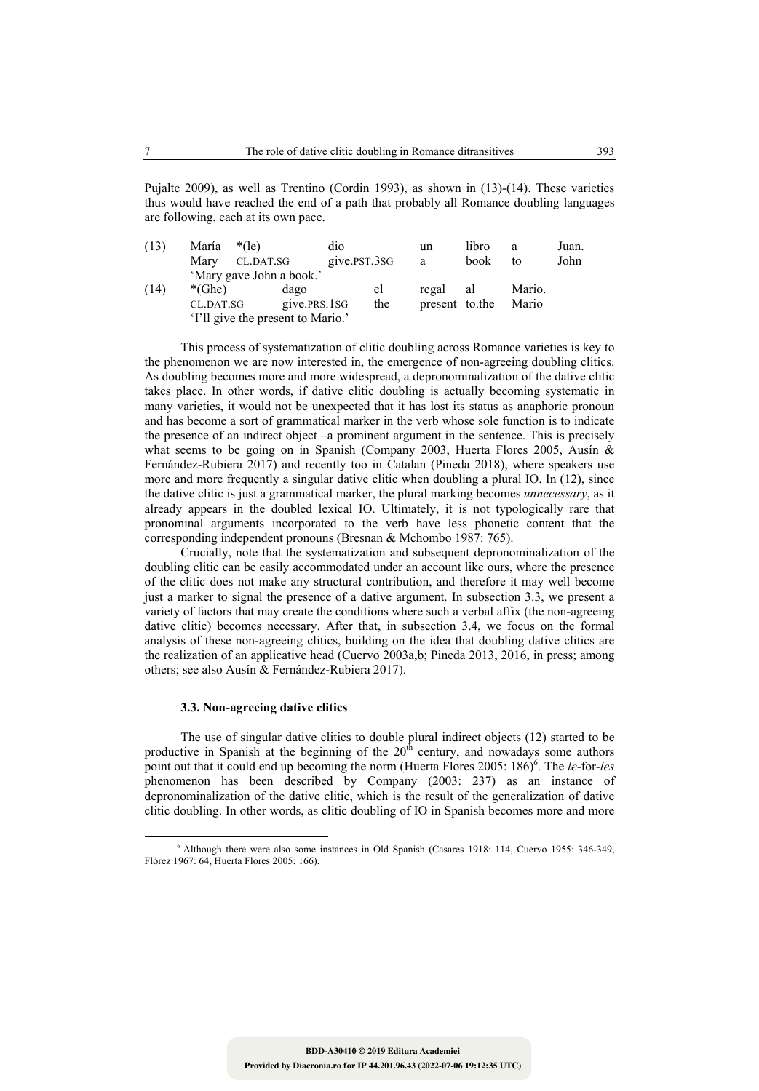Pujalte 2009), as well as Trentino (Cordin 1993), as shown in (13)-(14). These varieties thus would have reached the end of a path that probably all Romance doubling languages are following, each at its own pace.

| (13) | María     | $*(e)$                            | dio          |     | un             | libro | a      | Juan. |
|------|-----------|-----------------------------------|--------------|-----|----------------|-------|--------|-------|
|      | Mary      | CL.DAT.SG                         | give.PST.3SG |     | a              | book  | to     | John  |
|      |           | 'Mary gave John a book.'          |              |     |                |       |        |       |
| (14) | $*(Ghe)$  | dago                              |              | el  | regal          | al    | Mario. |       |
|      | CL.DAT.SG |                                   | give.PRS.1SG | the | present to the |       | Mario  |       |
|      |           | 'I'll give the present to Mario.' |              |     |                |       |        |       |

This process of systematization of clitic doubling across Romance varieties is key to the phenomenon we are now interested in, the emergence of non-agreeing doubling clitics. As doubling becomes more and more widespread, a depronominalization of the dative clitic takes place. In other words, if dative clitic doubling is actually becoming systematic in many varieties, it would not be unexpected that it has lost its status as anaphoric pronoun and has become a sort of grammatical marker in the verb whose sole function is to indicate the presence of an indirect object –a prominent argument in the sentence. This is precisely what seems to be going on in Spanish (Company 2003, Huerta Flores 2005, Ausín & Fernández-Rubiera 2017) and recently too in Catalan (Pineda 2018), where speakers use more and more frequently a singular dative clitic when doubling a plural IO. In (12), since the dative clitic is just a grammatical marker, the plural marking becomes *unnecessary*, as it already appears in the doubled lexical IO. Ultimately, it is not typologically rare that pronominal arguments incorporated to the verb have less phonetic content that the corresponding independent pronouns (Bresnan & Mchombo 1987: 765).

Crucially, note that the systematization and subsequent depronominalization of the doubling clitic can be easily accommodated under an account like ours, where the presence of the clitic does not make any structural contribution, and therefore it may well become just a marker to signal the presence of a dative argument. In subsection 3.3, we present a variety of factors that may create the conditions where such a verbal affix (the non-agreeing dative clitic) becomes necessary. After that, in subsection 3.4, we focus on the formal analysis of these non-agreeing clitics, building on the idea that doubling dative clitics are the realization of an applicative head (Cuervo 2003a,b; Pineda 2013, 2016, in press; among others; see also Ausín & Fernández-Rubiera 2017).

#### **3.3. Non-agreeing dative clitics**

The use of singular dative clitics to double plural indirect objects (12) started to be productive in Spanish at the beginning of the  $20<sup>th</sup>$  century, and nowadays some authors point out that it could end up becoming the norm (Huerta Flores 2005: 186)<sup>6</sup>. The *le-for-les* phenomenon has been described by Company (2003: 237) as an instance of depronominalization of the dative clitic, which is the result of the generalization of dative clitic doubling. In other words, as clitic doubling of IO in Spanish becomes more and more

 6 Although there were also some instances in Old Spanish (Casares 1918: 114, Cuervo 1955: 346-349, Flórez 1967: 64, Huerta Flores 2005: 166).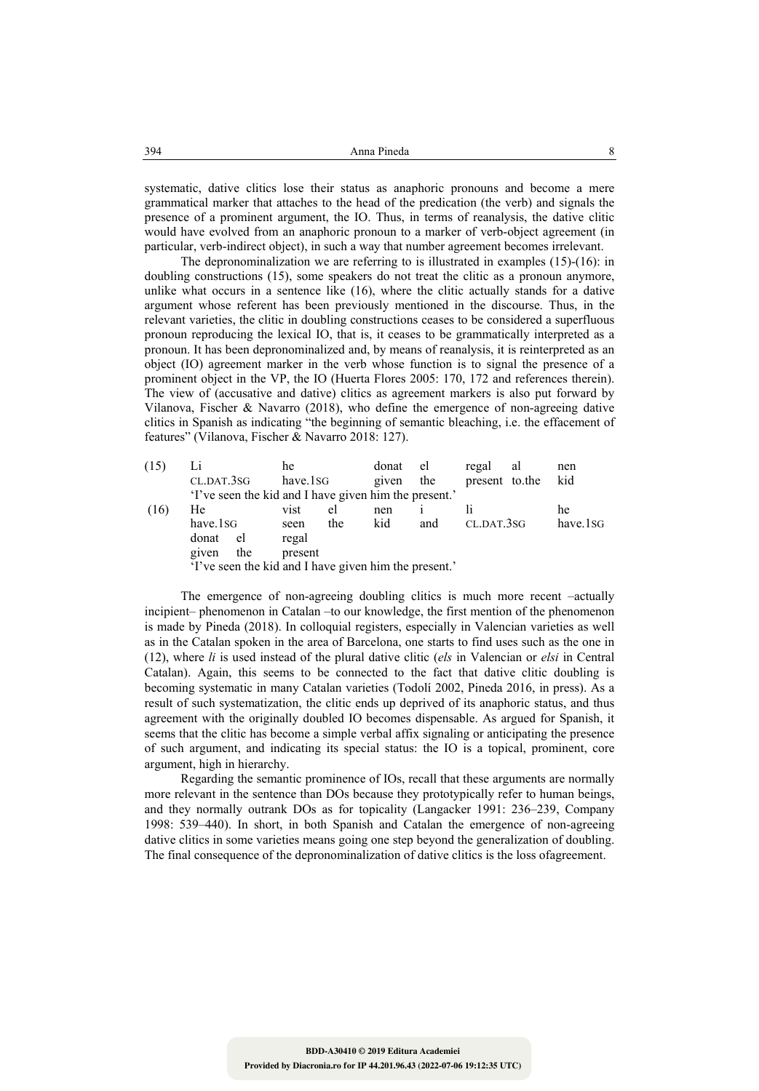systematic, dative clitics lose their status as anaphoric pronouns and become a mere grammatical marker that attaches to the head of the predication (the verb) and signals the presence of a prominent argument, the IO. Thus, in terms of reanalysis, the dative clitic would have evolved from an anaphoric pronoun to a marker of verb-object agreement (in particular, verb-indirect object), in such a way that number agreement becomes irrelevant.

The depronominalization we are referring to is illustrated in examples  $(15)-(16)$ : in doubling constructions (15), some speakers do not treat the clitic as a pronoun anymore, unlike what occurs in a sentence like  $(16)$ , where the clitic actually stands for a dative argument whose referent has been previously mentioned in the discourse. Thus, in the relevant varieties, the clitic in doubling constructions ceases to be considered a superfluous pronoun reproducing the lexical IO, that is, it ceases to be grammatically interpreted as a pronoun. It has been depronominalized and, by means of reanalysis, it is reinterpreted as an object (IO) agreement marker in the verb whose function is to signal the presence of a prominent object in the VP, the IO (Huerta Flores 2005: 170, 172 and references therein). The view of (accusative and dative) clitics as agreement markers is also put forward by Vilanova, Fischer & Navarro (2018), who define the emergence of non-agreeing dative clitics in Spanish as indicating "the beginning of semantic bleaching, i.e. the effacement of features" (Vilanova, Fischer & Navarro 2018: 127).

| (15) |            |     | he       |     | donat                                                 | el  | regal          | al                     | nen |
|------|------------|-----|----------|-----|-------------------------------------------------------|-----|----------------|------------------------|-----|
|      | CL.DAT.3SG |     | have.1sG |     | given                                                 | the | present to the |                        | kid |
|      |            |     |          |     | 'I've seen the kid and I have given him the present.' |     |                |                        |     |
| (16) | He         |     | vist     | el  | nen                                                   |     |                |                        | he  |
|      | have.1sG   |     | seen     | the |                                                       | and |                | have.1sG<br>CL.DAT.3SG |     |
|      | donat      | el  | regal    |     |                                                       |     |                |                        |     |
|      | given      | the | present  |     |                                                       |     |                |                        |     |
|      |            |     |          |     | 'I've seen the kid and I have given him the present.' |     |                |                        |     |

The emergence of non-agreeing doubling clitics is much more recent –actually incipient– phenomenon in Catalan –to our knowledge, the first mention of the phenomenon is made by Pineda (2018). In colloquial registers, especially in Valencian varieties as well as in the Catalan spoken in the area of Barcelona, one starts to find uses such as the one in (12), where *li* is used instead of the plural dative clitic (*els* in Valencian or *elsi* in Central Catalan). Again, this seems to be connected to the fact that dative clitic doubling is becoming systematic in many Catalan varieties (Todolí 2002, Pineda 2016, in press). As a result of such systematization, the clitic ends up deprived of its anaphoric status, and thus agreement with the originally doubled IO becomes dispensable. As argued for Spanish, it seems that the clitic has become a simple verbal affix signaling or anticipating the presence of such argument, and indicating its special status: the IO is a topical, prominent, core argument, high in hierarchy.

Regarding the semantic prominence of IOs, recall that these arguments are normally more relevant in the sentence than DOs because they prototypically refer to human beings, and they normally outrank DOs as for topicality (Langacker 1991: 236–239, Company 1998: 539–440). In short, in both Spanish and Catalan the emergence of non-agreeing dative clitics in some varieties means going one step beyond the generalization of doubling. The final consequence of the depronominalization of dative clitics is the loss ofagreement.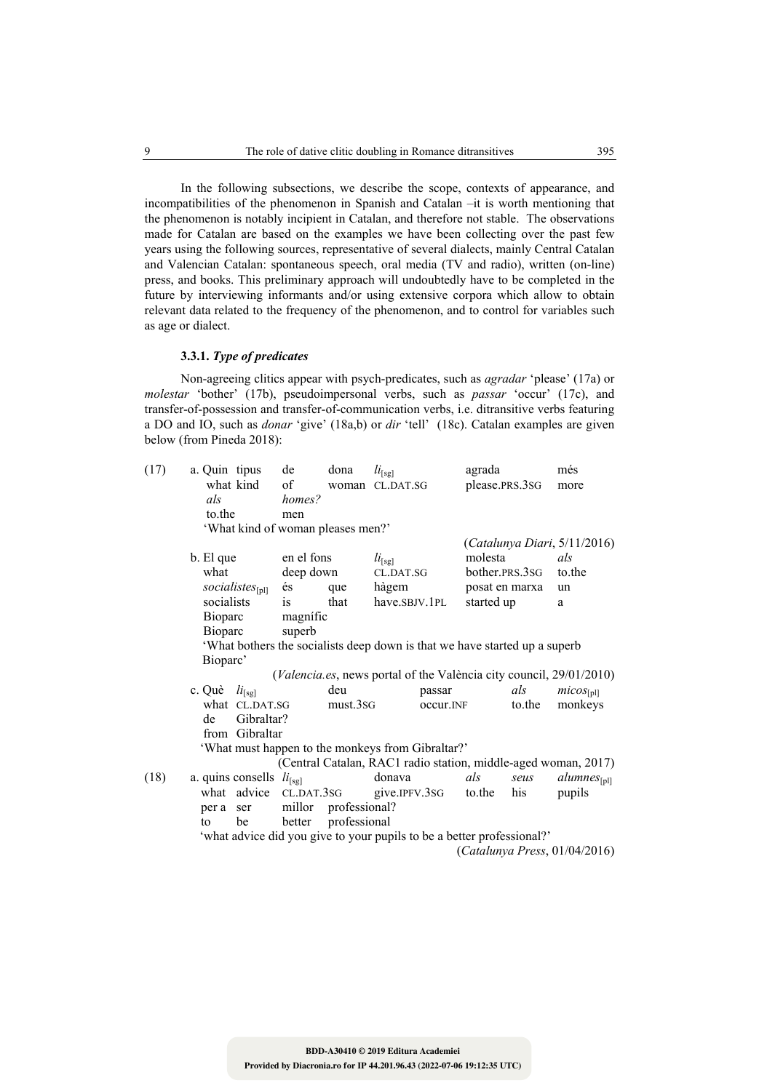In the following subsections, we describe the scope, contexts of appearance, and incompatibilities of the phenomenon in Spanish and Catalan –it is worth mentioning that the phenomenon is notably incipient in Catalan, and therefore not stable. The observations made for Catalan are based on the examples we have been collecting over the past few years using the following sources, representative of several dialects, mainly Central Catalan and Valencian Catalan: spontaneous speech, oral media (TV and radio), written (on-line) press, and books. This preliminary approach will undoubtedly have to be completed in the future by interviewing informants and/or using extensive corpora which allow to obtain relevant data related to the frequency of the phenomenon, and to control for variables such as age or dialect.

#### **3.3.1.** *Type of predicates*

Non-agreeing clitics appear with psych-predicates, such as *agradar* 'please' (17a) or *molestar* 'bother' (17b), pseudoimpersonal verbs, such as *passar* 'occur' (17c), and transfer-of-possession and transfer-of-communication verbs, i.e. ditransitive verbs featuring a DO and IO, such as *donar* 'give' (18a,b) or *dir* 'tell' (18c). Catalan examples are given below (from Pineda 2018):

| (17) | a. Quin tipus<br>als<br>to the                                                                           | what kind                                                     | de<br>of<br>homes?<br>men<br>'What kind of woman pleases men?'   | dona                          | $li_{[sg]}$<br>woman CL.DAT.SG                            |                     | agrada<br>please.PRS.3SG                                                                |               | més<br>more                                                                                 |
|------|----------------------------------------------------------------------------------------------------------|---------------------------------------------------------------|------------------------------------------------------------------|-------------------------------|-----------------------------------------------------------|---------------------|-----------------------------------------------------------------------------------------|---------------|---------------------------------------------------------------------------------------------|
|      | b. El que<br>what<br>socialists<br>Bioparc                                                               | socialistes <sub>[pl]</sub>                                   | en el fons<br>deep down<br>és<br><i>is</i><br>magnific<br>superb | que<br>that                   | $li_{\text{[sg]}}$<br>CL.DAT.SG<br>hàgem<br>have.SBJV.1PL |                     | molesta<br>bother.PRS.3SG<br>posat en marxa<br>started up                               |               | (Catalunya Diari, 5/11/2016)<br>als<br>to the<br>un<br>a                                    |
|      | <b>Bioparc</b><br>'What bothers the socialists deep down is that we have started up a superb<br>Bioparc' |                                                               |                                                                  |                               |                                                           |                     |                                                                                         |               | (Valencia.es, news portal of the València city council, 29/01/2010)                         |
|      | c. Què<br>de                                                                                             | $li_{[sg]}$<br>what CL.DAT.SG<br>Gibraltar?<br>from Gibraltar | 'What must happen to the monkeys from Gibraltar?'                | deu<br>must.3sG               |                                                           | passar<br>occur.INF |                                                                                         | als<br>to.the | $micos_{[pl]}$<br>monkeys<br>(Central Catalan, RAC1 radio station, middle-aged woman, 2017) |
| (18) | per a ser<br>to                                                                                          | a. quins consells $li_{[sg]}$<br>what advice<br>be            | CL.DAT.3SG<br>millor<br>better                                   | professional?<br>professional | donava<br>give.IPFV.3SG                                   |                     | als<br>to the<br>'what advice did you give to your pupils to be a better professional?' | seus<br>his   | $\textit{alumnes}_{[pl]}$<br>pupils<br>(Catalunya Press, 01/04/2016)                        |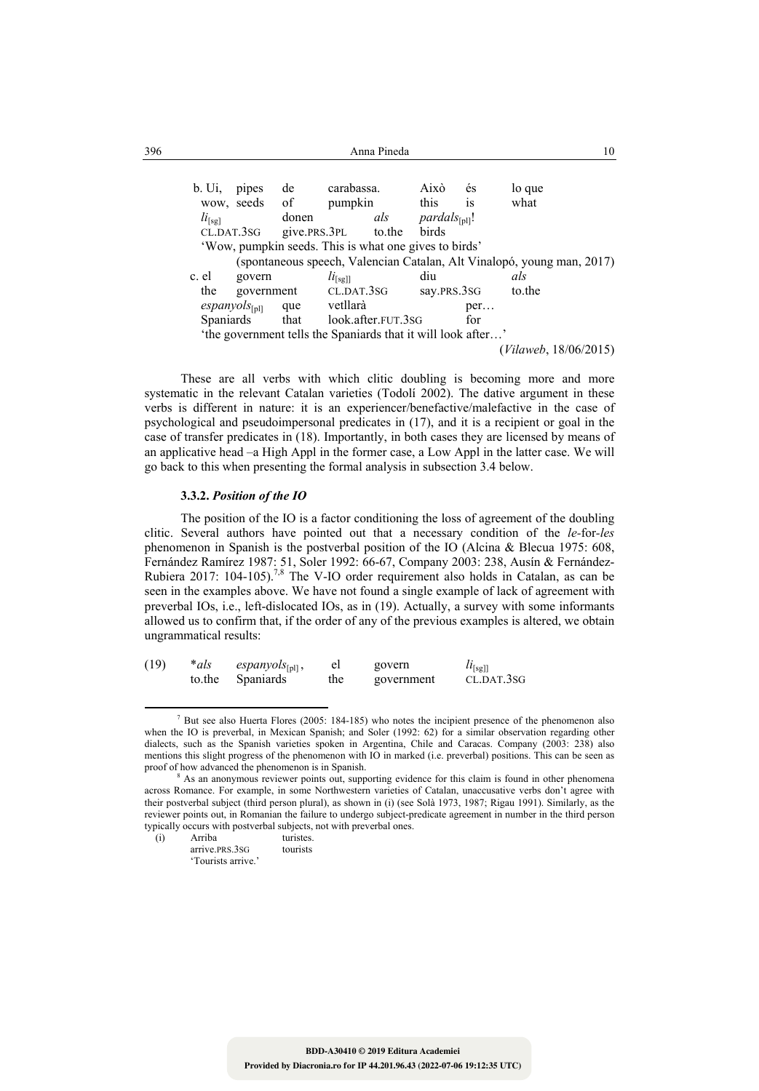| 396 | Anna Pineda              |                    |       |                                        |                                                              |                          |          |                                                                        |  |  |
|-----|--------------------------|--------------------|-------|----------------------------------------|--------------------------------------------------------------|--------------------------|----------|------------------------------------------------------------------------|--|--|
|     | $b.$ Ui.                 | pipes              | de    | carabassa.<br>wow, seeds of<br>pumpkin |                                                              | Això<br>this             | és<br>is | lo que<br>what                                                         |  |  |
|     | $li_{\lceil s g \rceil}$ |                    | donen |                                        | als                                                          | $pardals_{\text{full}}!$ |          |                                                                        |  |  |
|     |                          | CL.DAT.3SG         |       | give.prs.3pl to.the                    |                                                              | birds                    |          |                                                                        |  |  |
|     |                          |                    |       |                                        | 'Wow, pumpkin seeds. This is what one gives to birds'        |                          |          |                                                                        |  |  |
|     |                          |                    |       |                                        |                                                              |                          |          | (spontaneous speech, Valencian Catalan, Alt Vinalopó, young man, 2017) |  |  |
|     | c. el                    | govern             |       | $li_{[sg]]}$                           |                                                              | diu                      |          | als                                                                    |  |  |
|     | the                      | government         |       | CL.DAT.3SG                             |                                                              | say.PRS.3SG              |          | to the                                                                 |  |  |
|     |                          | $espanyols_{[pl]}$ |       | que vetllarà                           |                                                              |                          | per      |                                                                        |  |  |
|     | <b>Spaniards</b>         |                    | that  |                                        | look.after.FUT.3SG                                           |                          | for      |                                                                        |  |  |
|     |                          |                    |       |                                        | 'the government tells the Spaniards that it will look after' |                          |          |                                                                        |  |  |
|     |                          |                    |       |                                        |                                                              |                          |          | (Vilaweb, 18/06/2015)                                                  |  |  |

These are all verbs with which clitic doubling is becoming more and more systematic in the relevant Catalan varieties (Todolí 2002). The dative argument in these verbs is different in nature: it is an experiencer/benefactive/malefactive in the case of psychological and pseudoimpersonal predicates in (17), and it is a recipient or goal in the case of transfer predicates in (18). Importantly, in both cases they are licensed by means of an applicative head –a High Appl in the former case, a Low Appl in the latter case. We will go back to this when presenting the formal analysis in subsection 3.4 below.

## **3.3.2.** *Position of the IO*

The position of the IO is a factor conditioning the loss of agreement of the doubling clitic. Several authors have pointed out that a necessary condition of the *le-*for*-les* phenomenon in Spanish is the postverbal position of the IO (Alcina & Blecua 1975: 608, Fernández Ramírez 1987: 51, Soler 1992: 66-67, Company 2003: 238, Ausín & Fernández-Rubiera 2017: 104-105).<sup>7,8</sup> The V-IO order requirement also holds in Catalan, as can be seen in the examples above. We have not found a single example of lack of agreement with preverbal IOs, i.e., left-dislocated IOs, as in (19). Actually, a survey with some informants allowed us to confirm that, if the order of any of the previous examples is altered, we obtain ungrammatical results:

| (19) | *als   | espanyols $_{[pl]}$ , |     | govern     | $u_{\text{[sg]}}$ |
|------|--------|-----------------------|-----|------------|-------------------|
|      | to the | <b>Spaniards</b>      | the | government | CL.DAT.3SG        |

<sup>&</sup>lt;sup>7</sup> But see also Huerta Flores (2005: 184-185) who notes the incipient presence of the phenomenon also when the IO is preverbal, in Mexican Spanish; and Soler (1992: 62) for a similar observation regarding other dialects, such as the Spanish varieties spoken in Argentina, Chile and Caracas. Company (2003: 238) also mentions this slight progress of the phenomenon with IO in marked (i.e. preverbal) positions. This can be seen as proof of how advanced the phenomenon is in Spanish.

As an anonymous reviewer points out, supporting evidence for this claim is found in other phenomena across Romance. For example, in some Northwestern varieties of Catalan, unaccusative verbs don't agree with their postverbal subject (third person plural), as shown in (i) (see Solà 1973, 1987; Rigau 1991). Similarly, as the reviewer points out, in Romanian the failure to undergo subject-predicate agreement in number in the third person typically occurs with postverbal subjects, not with preverbal ones.

<sup>(</sup>i) Arriba turistes. arrive.PRS.3SG tourists

 <sup>&#</sup>x27;Tourists arrive.'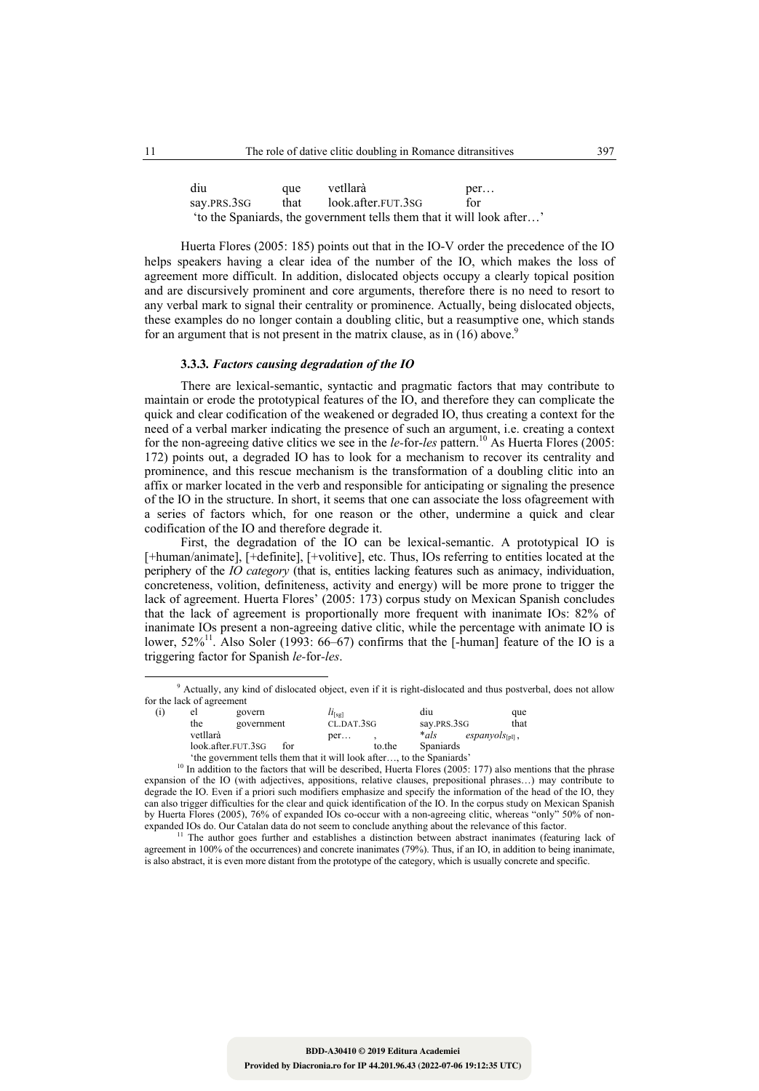| diu         | que  | vetllarà                                                             | per |
|-------------|------|----------------------------------------------------------------------|-----|
| say.PRS.3SG | that | look.after.FUT.3SG                                                   | for |
|             |      | to the Spaniards, the government tells them that it will look after' |     |

Huerta Flores (2005: 185) points out that in the IO-V order the precedence of the IO helps speakers having a clear idea of the number of the IO, which makes the loss of agreement more difficult. In addition, dislocated objects occupy a clearly topical position and are discursively prominent and core arguments, therefore there is no need to resort to any verbal mark to signal their centrality or prominence. Actually, being dislocated objects, these examples do no longer contain a doubling clitic, but a reasumptive one, which stands for an argument that is not present in the matrix clause, as in  $(16)$  above.<sup>9</sup>

### **3.3.3***. Factors causing degradation of the IO*

There are lexical-semantic, syntactic and pragmatic factors that may contribute to maintain or erode the prototypical features of the IO, and therefore they can complicate the quick and clear codification of the weakened or degraded IO, thus creating a context for the need of a verbal marker indicating the presence of such an argument, i.e. creating a context for the non-agreeing dative clitics we see in the *le-*for-*les* pattern.10 As Huerta Flores (2005: 172) points out, a degraded IO has to look for a mechanism to recover its centrality and prominence, and this rescue mechanism is the transformation of a doubling clitic into an affix or marker located in the verb and responsible for anticipating or signaling the presence of the IO in the structure. In short, it seems that one can associate the loss ofagreement with a series of factors which, for one reason or the other, undermine a quick and clear codification of the IO and therefore degrade it.

First, the degradation of the IO can be lexical-semantic. A prototypical IO is [+human/animate], [+definite], [+volitive], etc. Thus, IOs referring to entities located at the periphery of the *IO category* (that is, entities lacking features such as animacy, individuation, concreteness, volition, definiteness, activity and energy) will be more prone to trigger the lack of agreement. Huerta Flores' (2005: 173) corpus study on Mexican Spanish concludes that the lack of agreement is proportionally more frequent with inanimate IOs: 82% of inanimate IOs present a non-agreeing dative clitic, while the percentage with animate IO is lower,  $52\%$ <sup>11</sup>. Also Soler (1993: 66–67) confirms that the [-human] feature of the IO is a triggering factor for Spanish *le-*for*-les*.

 <sup>9</sup> Actually, any kind of dislocated object, even if it is right-dislocated and thus postverbal, does not allow for the lack of agreement

| (i) | el       | govern                                                                                                                                             |     | $u_{\text{[sg]}}$ |        | diu              | que                         |
|-----|----------|----------------------------------------------------------------------------------------------------------------------------------------------------|-----|-------------------|--------|------------------|-----------------------------|
|     | the      | government                                                                                                                                         |     | CL.DAT.3SG        |        | say.PRS.3SG      | that                        |
|     | vetllarà |                                                                                                                                                    |     | per               |        | *als             | $espanyols_{\text{full}}$ , |
|     |          | look.after.FUT.3SG                                                                                                                                 | for |                   | to the | <b>Spaniards</b> |                             |
|     |          | $\{A\}_{\alpha\alpha}$ and account on the field of the set of $A$ and $\{A\}_{\alpha\alpha}$ and $\{A\}_{\alpha\alpha}$ and $\{A\}_{\alpha\alpha}$ |     |                   |        | $1 - 11 - 0 - 0$ |                             |

<sup>&</sup>lt;sup>10</sup> In addition to the factors that will look after…, to the Spaniards' <sup>10</sup> In addition to the factors that will be described, Huerta Flores (2005: 177) also mentions that the phrase expansion of the IO (with adjectives, appositions, relative clauses, prepositional phrases…) may contribute to degrade the IO. Even if a priori such modifiers emphasize and specify the information of the head of the IO, they can also trigger difficulties for the clear and quick identification of the IO. In the corpus study on Mexican Spanish by Huerta Flores (2005), 76% of expanded IOs co-occur with a non-agreeing clitic, whereas "only" 50% of non-expanded IOs do. Our Catalan data do not seem to conclude anything about the relevance of this factor.

The author goes further and establishes a distinction between abstract inanimates (featuring lack of agreement in 100% of the occurrences) and concrete inanimates (79%). Thus, if an IO, in addition to being inanimate, is also abstract, it is even more distant from the prototype of the category, which is usually concrete and specific.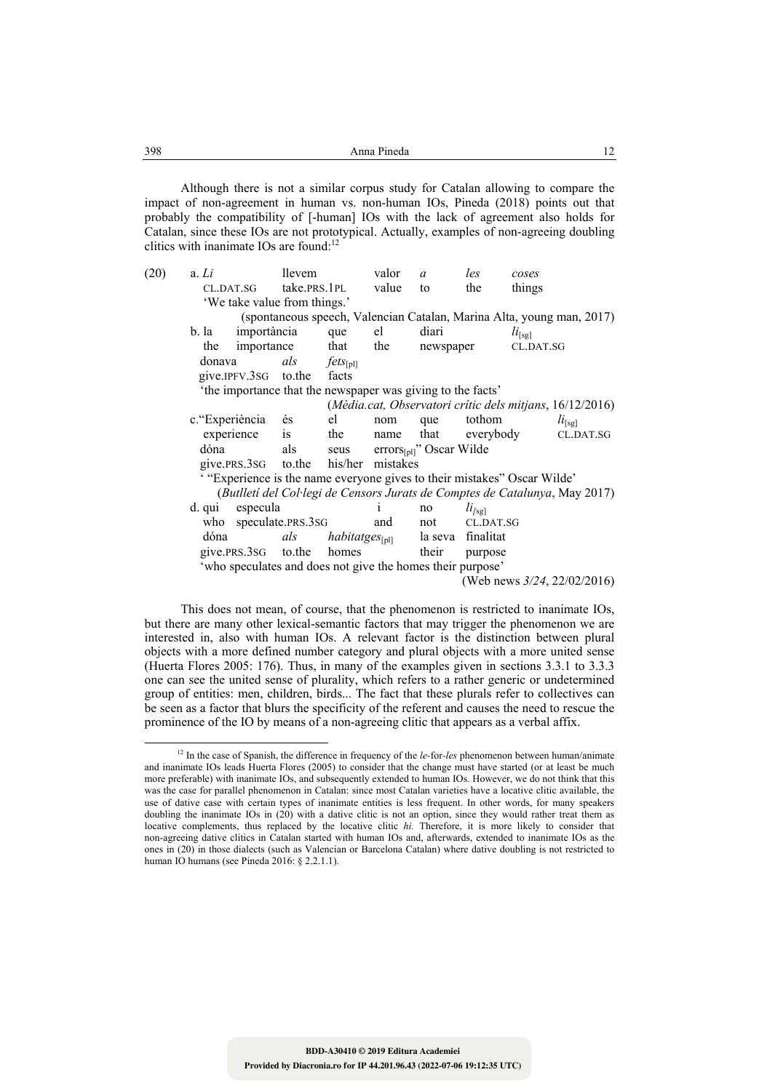| 398 | -----<br>Anna Pinega | . . |
|-----|----------------------|-----|
|     |                      |     |

Although there is not a similar corpus study for Catalan allowing to compare the impact of non-agreement in human vs. non-human IOs, Pineda (2018) points out that probably the compatibility of [-human] IOs with the lack of agreement also holds for Catalan, since these IOs are not prototypical. Actually, examples of non-agreeing doubling clitics with inanimate IOs are found:<sup>12</sup>

| (20) | a. Li                                                                  | llevem       |                     | valor            | $\mathfrak a$                        | les                | coses                                                                       |  |
|------|------------------------------------------------------------------------|--------------|---------------------|------------------|--------------------------------------|--------------------|-----------------------------------------------------------------------------|--|
|      | CL.DAT.SG                                                              | take.PRS.1PL |                     | value            | to                                   | the                | things                                                                      |  |
|      | 'We take value from things.'                                           |              |                     |                  |                                      |                    |                                                                             |  |
|      |                                                                        |              |                     |                  |                                      |                    | (spontaneous speech, Valencian Catalan, Marina Alta, young man, 2017)       |  |
|      | importància<br>b. la                                                   |              | que                 | el               | diari                                |                    | $li_{[sg]}$                                                                 |  |
|      | importance<br>the                                                      |              | that                | the              | newspaper                            |                    | CL.DAT.SG                                                                   |  |
|      | donava                                                                 | als          | $fets_{[pl]}$       |                  |                                      |                    |                                                                             |  |
|      | give.IPFV.3sG to.the                                                   |              | facts               |                  |                                      |                    |                                                                             |  |
|      | 'the importance that the newspaper was giving to the facts'            |              |                     |                  |                                      |                    |                                                                             |  |
|      |                                                                        |              |                     |                  |                                      |                    | (Mèdia.cat, Observatori crític dels mitjans, 16/12/2016)                    |  |
|      | c. "Experiència                                                        | és           | el                  | nom              | que                                  | tothom             | $li_{[sg]}$                                                                 |  |
|      | experience                                                             | is           | the                 | name             | that                                 | everybody          | CL.DAT.SG                                                                   |  |
|      | dóna                                                                   | als          | seus                |                  | $\text{errors}_{[pl]}$ " Oscar Wilde |                    |                                                                             |  |
|      | give.prs.3sG to.the                                                    |              |                     | his/her mistakes |                                      |                    |                                                                             |  |
|      | "Experience is the name everyone gives to their mistakes" Oscar Wilde" |              |                     |                  |                                      |                    |                                                                             |  |
|      |                                                                        |              |                     |                  |                                      |                    | (Butlletí del Col·legi de Censors Jurats de Comptes de Catalunya, May 2017) |  |
|      | especula<br>d. qui                                                     |              |                     | $\mathbf{1}$     | no                                   | li <sub>[sg]</sub> |                                                                             |  |
|      | who speculate.PRS.3SG                                                  |              |                     | and              | not                                  | CL.DAT.SG          |                                                                             |  |
|      | dóna                                                                   | als          | $habitatges_{[pl]}$ |                  |                                      | la seva finalitat  |                                                                             |  |
|      | give.prs.3sG to.the                                                    |              | homes               |                  | their                                | purpose            |                                                                             |  |
|      | 'who speculates and does not give the homes their purpose'             |              |                     |                  |                                      |                    |                                                                             |  |
|      |                                                                        |              |                     |                  |                                      |                    | (Web news $3/24$ , $22/02/2016$ )                                           |  |
|      |                                                                        |              |                     |                  |                                      |                    |                                                                             |  |

This does not mean, of course, that the phenomenon is restricted to inanimate IOs, but there are many other lexical-semantic factors that may trigger the phenomenon we are interested in, also with human IOs. A relevant factor is the distinction between plural objects with a more defined number category and plural objects with a more united sense (Huerta Flores 2005: 176). Thus, in many of the examples given in sections 3.3.1 to 3.3.3 one can see the united sense of plurality, which refers to a rather generic or undetermined group of entities: men, children, birds... The fact that these plurals refer to collectives can be seen as a factor that blurs the specificity of the referent and causes the need to rescue the prominence of the IO by means of a non-agreeing clitic that appears as a verbal affix.

<u> 1989 - Johann Barn, mars eta bainar eta industrial eta bainar eta baina eta baina eta baina eta baina eta ba</u>

<sup>&</sup>lt;sup>12</sup> In the case of Spanish, the difference in frequency of the *le-for-les* phenomenon between human/animate and inanimate IOs leads Huerta Flores (2005) to consider that the change must have started (or at least be much more preferable) with inanimate IOs, and subsequently extended to human IOs. However, we do not think that this was the case for parallel phenomenon in Catalan: since most Catalan varieties have a locative clitic available, the use of dative case with certain types of inanimate entities is less frequent. In other words, for many speakers doubling the inanimate IOs in (20) with a dative clitic is not an option, since they would rather treat them as locative complements, thus replaced by the locative clitic *hi.* Therefore, it is more likely to consider that non-agreeing dative clitics in Catalan started with human IOs and, afterwards, extended to inanimate IOs as the ones in (20) in those dialects (such as Valencian or Barcelona Catalan) where dative doubling is not restricted to human IO humans (see Pineda 2016: § 2.2.1.1).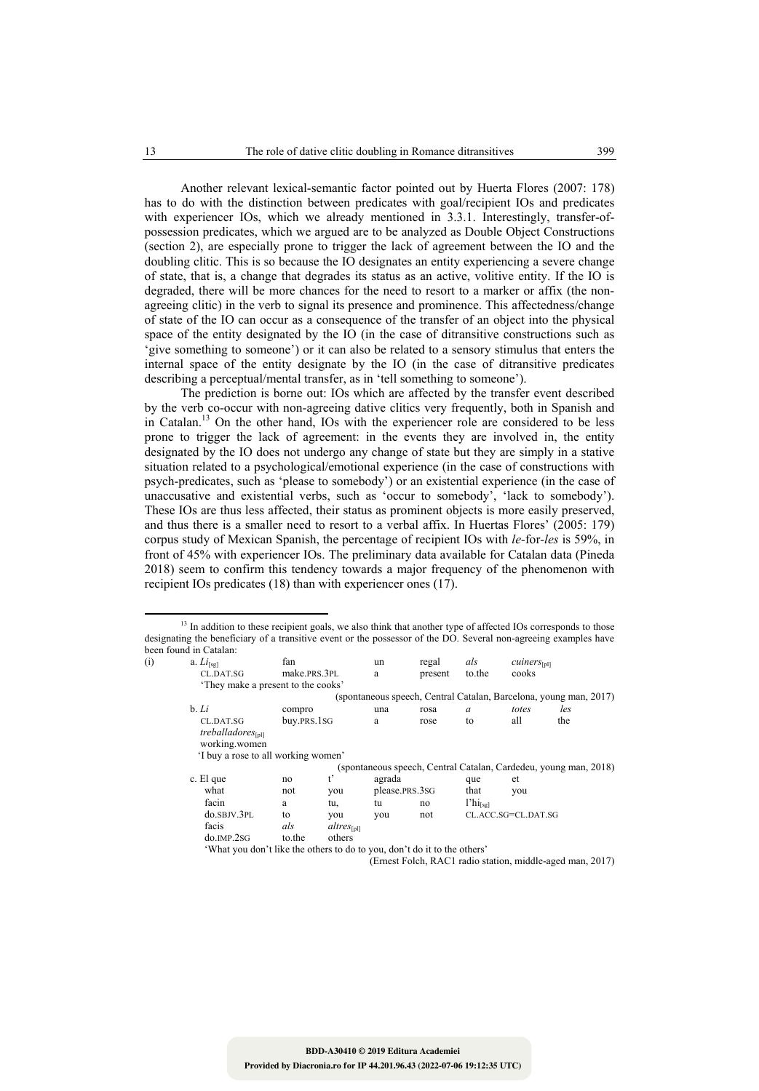Another relevant lexical-semantic factor pointed out by Huerta Flores (2007: 178) has to do with the distinction between predicates with goal/recipient IOs and predicates with experiencer IOs, which we already mentioned in 3.3.1. Interestingly, transfer-ofpossession predicates, which we argued are to be analyzed as Double Object Constructions (section 2), are especially prone to trigger the lack of agreement between the IO and the doubling clitic. This is so because the IO designates an entity experiencing a severe change of state, that is, a change that degrades its status as an active, volitive entity. If the IO is degraded, there will be more chances for the need to resort to a marker or affix (the nonagreeing clitic) in the verb to signal its presence and prominence. This affectedness/change of state of the IO can occur as a consequence of the transfer of an object into the physical space of the entity designated by the IO (in the case of ditransitive constructions such as 'give something to someone') or it can also be related to a sensory stimulus that enters the internal space of the entity designate by the IO (in the case of ditransitive predicates describing a perceptual/mental transfer, as in 'tell something to someone').

The prediction is borne out: IOs which are affected by the transfer event described by the verb co-occur with non-agreeing dative clitics very frequently, both in Spanish and in Catalan.13 On the other hand, IOs with the experiencer role are considered to be less prone to trigger the lack of agreement: in the events they are involved in, the entity designated by the IO does not undergo any change of state but they are simply in a stative situation related to a psychological/emotional experience (in the case of constructions with psych-predicates, such as 'please to somebody') or an existential experience (in the case of unaccusative and existential verbs, such as 'occur to somebody', 'lack to somebody'). These IOs are thus less affected, their status as prominent objects is more easily preserved, and thus there is a smaller need to resort to a verbal affix. In Huertas Flores' (2005: 179) corpus study of Mexican Spanish, the percentage of recipient IOs with *le-*for*-les* is 59%, in front of 45% with experiencer IOs. The preliminary data available for Catalan data (Pineda 2018) seem to confirm this tendency towards a major frequency of the phenomenon with recipient IOs predicates (18) than with experiencer ones (17).

<u> 1989 - Johann Barn, mars eta bainar eta industrial eta bainar eta baina eta baina eta baina eta baina eta ba</u>

| (i) | a. $Li[sg]$                                                              | fan          |                 | un                                                                | regal   | als           | $censure_{\text{InII}}$ |     |  |
|-----|--------------------------------------------------------------------------|--------------|-----------------|-------------------------------------------------------------------|---------|---------------|-------------------------|-----|--|
|     | CL.DAT.SG                                                                | make.PRS.3PL |                 | a                                                                 | present | to the        | cooks                   |     |  |
|     | They make a present to the cooks'                                        |              |                 |                                                                   |         |               |                         |     |  |
|     |                                                                          |              |                 | (spontaneous speech, Central Catalan, Barcelona, young man, 2017) |         |               |                         |     |  |
|     | b. Li                                                                    | compro       |                 | una                                                               | rosa    | a             | totes                   | les |  |
|     | CL.DAT.SG<br>treballadores $sInII$<br>working.women                      | buy.PRS.1SG  |                 | a                                                                 | rose    | to            | all                     | the |  |
|     | 'I buy a rose to all working women'                                      |              |                 |                                                                   |         |               |                         |     |  |
|     |                                                                          |              |                 | (spontaneous speech, Central Catalan, Cardedeu, young man, 2018)  |         |               |                         |     |  |
|     | c. El que                                                                | no           | $t^{\prime}$    | agrada                                                            |         | que           | et                      |     |  |
|     | what                                                                     | not          | you             | please.PRS.3SG                                                    |         | that          | you                     |     |  |
|     | facin                                                                    | a            | tu,             | tu                                                                | no      | $l'hi_{[se]}$ |                         |     |  |
|     | do.SBJV.3PL                                                              | to           | you             | you                                                               | not     |               | CL.ACC.SG=CL.DAT.SG     |     |  |
|     | facis                                                                    | als          | $altres_{[pl]}$ |                                                                   |         |               |                         |     |  |
|     | $do$ . IMP. $2SG$                                                        | to the       | others          |                                                                   |         |               |                         |     |  |
|     | 'What you don't like the others to do to you, don't do it to the others' |              |                 |                                                                   |         |               |                         |     |  |

(Ernest Folch, RAC1 radio station, middle-aged man, 2017)

<sup>&</sup>lt;sup>13</sup> In addition to these recipient goals, we also think that another type of affected IOs corresponds to those designating the beneficiary of a transitive event or the possessor of the DO. Several non-agreeing examples have been found in Catalan: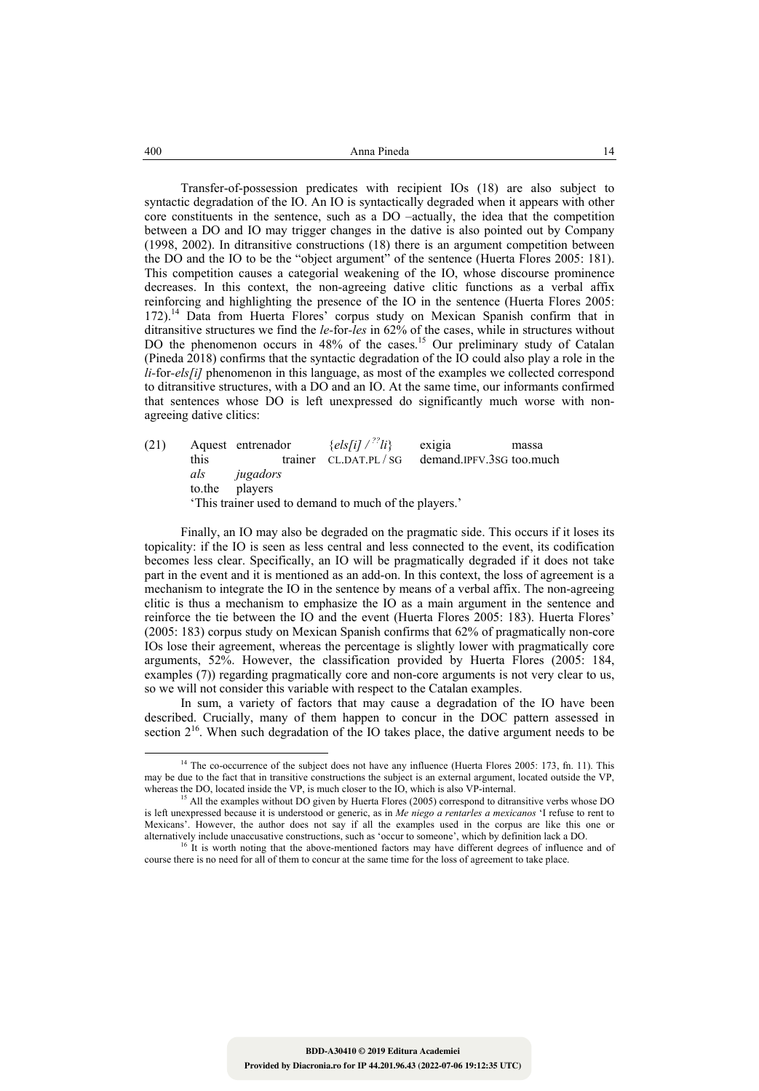| 400 | Anna Pineda |  |
|-----|-------------|--|
|     |             |  |

Transfer-of-possession predicates with recipient IOs (18) are also subject to syntactic degradation of the IO. An IO is syntactically degraded when it appears with other core constituents in the sentence, such as a DO –actually, the idea that the competition between a DO and IO may trigger changes in the dative is also pointed out by Company (1998, 2002). In ditransitive constructions (18) there is an argument competition between the DO and the IO to be the "object argument" of the sentence (Huerta Flores 2005: 181). This competition causes a categorial weakening of the IO, whose discourse prominence decreases. In this context, the non-agreeing dative clitic functions as a verbal affix reinforcing and highlighting the presence of the IO in the sentence (Huerta Flores 2005: 172).14 Data from Huerta Flores' corpus study on Mexican Spanish confirm that in ditransitive structures we find the *le-*for*-les* in 62% of the cases, while in structures without DO the phenomenon occurs in 48% of the cases.<sup>15</sup> Our preliminary study of Catalan (Pineda 2018) confirms that the syntactic degradation of the IO could also play a role in the *li-*for*-els[i]* phenomenon in this language, as most of the examples we collected correspond to ditransitive structures, with a DO and an IO. At the same time, our informants confirmed that sentences whose DO is left unexpressed do significantly much worse with nonagreeing dative clitics:

(21) Aquest entrenador  $\{els[i] / {}^{72}i\}$  exigia massa<br>this trainer CLDAT.PL/SG demand.IPFV.3SG too.mu this trainer CL.DAT.PL / SG demand.IPFV.3SG too.much *als jugadors*  to.the players 'This trainer used to demand to much of the players.'

Finally, an IO may also be degraded on the pragmatic side. This occurs if it loses its topicality: if the IO is seen as less central and less connected to the event, its codification becomes less clear. Specifically, an IO will be pragmatically degraded if it does not take part in the event and it is mentioned as an add-on. In this context, the loss of agreement is a mechanism to integrate the IO in the sentence by means of a verbal affix. The non-agreeing clitic is thus a mechanism to emphasize the IO as a main argument in the sentence and reinforce the tie between the IO and the event (Huerta Flores 2005: 183). Huerta Flores' (2005: 183) corpus study on Mexican Spanish confirms that 62% of pragmatically non-core IOs lose their agreement, whereas the percentage is slightly lower with pragmatically core arguments, 52%. However, the classification provided by Huerta Flores (2005: 184, examples (7)) regarding pragmatically core and non-core arguments is not very clear to us, so we will not consider this variable with respect to the Catalan examples.

In sum, a variety of factors that may cause a degradation of the IO have been described. Crucially, many of them happen to concur in the DOC pattern assessed in section  $2^{16}$ . When such degradation of the IO takes place, the dative argument needs to be

<sup>&</sup>lt;sup>14</sup> The co-occurrence of the subject does not have any influence (Huerta Flores 2005: 173, fn. 11). This may be due to the fact that in transitive constructions the subject is an external argument, located outside the VP, whereas the DO, located inside the VP, is much closer to the IO, which is also VP-internal.<br><sup>15</sup> All the examples without DO given by Huerta Flores (2005) correspond to ditransitive verbs whose DO

is left unexpressed because it is understood or generic, as in *Me niego a rentarles a mexicanos* 'I refuse to rent to Mexicans'. However, the author does not say if all the examples used in the corpus are like this one or alternatively include unaccusative constructions, such as 'occur to someone', which by definition lack a DO.

<sup>&</sup>lt;sup>16</sup> It is worth noting that the above-mentioned factors may have different degrees of influence and of course there is no need for all of them to concur at the same time for the loss of agreement to take place.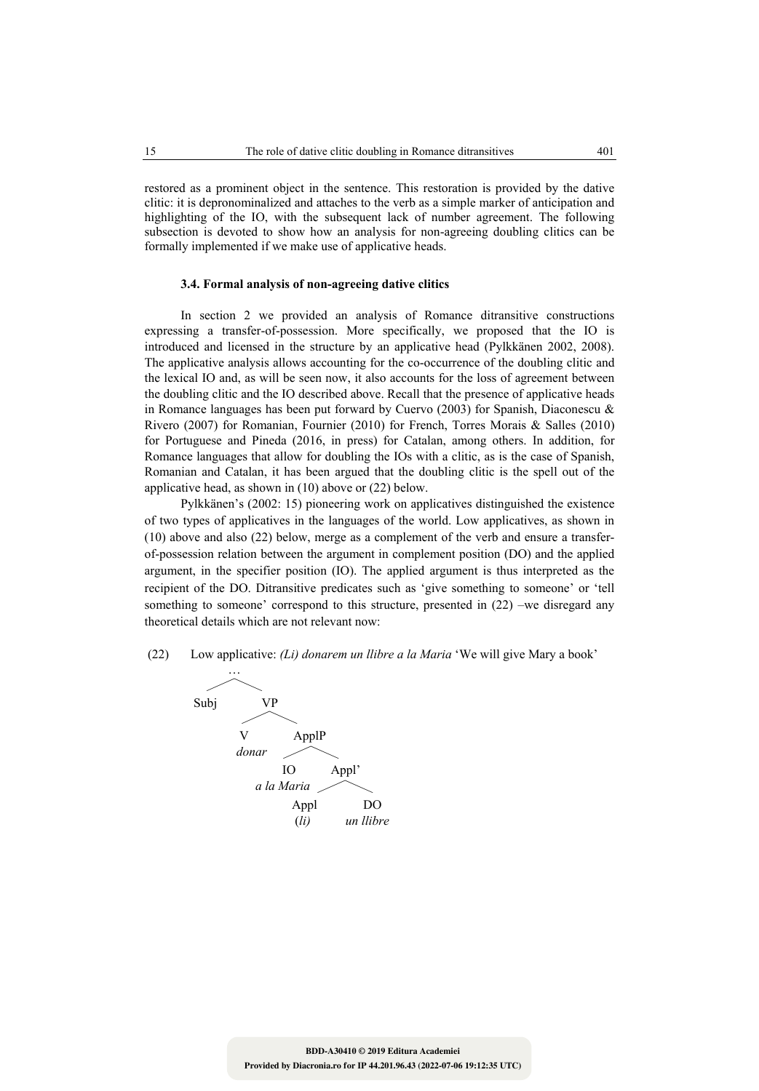restored as a prominent object in the sentence. This restoration is provided by the dative clitic: it is depronominalized and attaches to the verb as a simple marker of anticipation and highlighting of the IO, with the subsequent lack of number agreement. The following subsection is devoted to show how an analysis for non-agreeing doubling clitics can be formally implemented if we make use of applicative heads.

#### **3.4. Formal analysis of non-agreeing dative clitics**

In section 2 we provided an analysis of Romance ditransitive constructions expressing a transfer-of-possession. More specifically, we proposed that the IO is introduced and licensed in the structure by an applicative head (Pylkkänen 2002, 2008). The applicative analysis allows accounting for the co-occurrence of the doubling clitic and the lexical IO and, as will be seen now, it also accounts for the loss of agreement between the doubling clitic and the IO described above. Recall that the presence of applicative heads in Romance languages has been put forward by Cuervo (2003) for Spanish, Diaconescu & Rivero (2007) for Romanian, Fournier (2010) for French, Torres Morais & Salles (2010) for Portuguese and Pineda (2016, in press) for Catalan, among others. In addition, for Romance languages that allow for doubling the IOs with a clitic, as is the case of Spanish, Romanian and Catalan, it has been argued that the doubling clitic is the spell out of the applicative head, as shown in (10) above or (22) below.

Pylkkänen's (2002: 15) pioneering work on applicatives distinguished the existence of two types of applicatives in the languages of the world. Low applicatives, as shown in (10) above and also (22) below, merge as a complement of the verb and ensure a transferof-possession relation between the argument in complement position (DO) and the applied argument, in the specifier position (IO). The applied argument is thus interpreted as the recipient of the DO. Ditransitive predicates such as 'give something to someone' or 'tell something to someone' correspond to this structure, presented in (22) –we disregard any theoretical details which are not relevant now:

(22) Low applicative: *(Li) donarem un llibre a la Maria* 'We will give Mary a book'

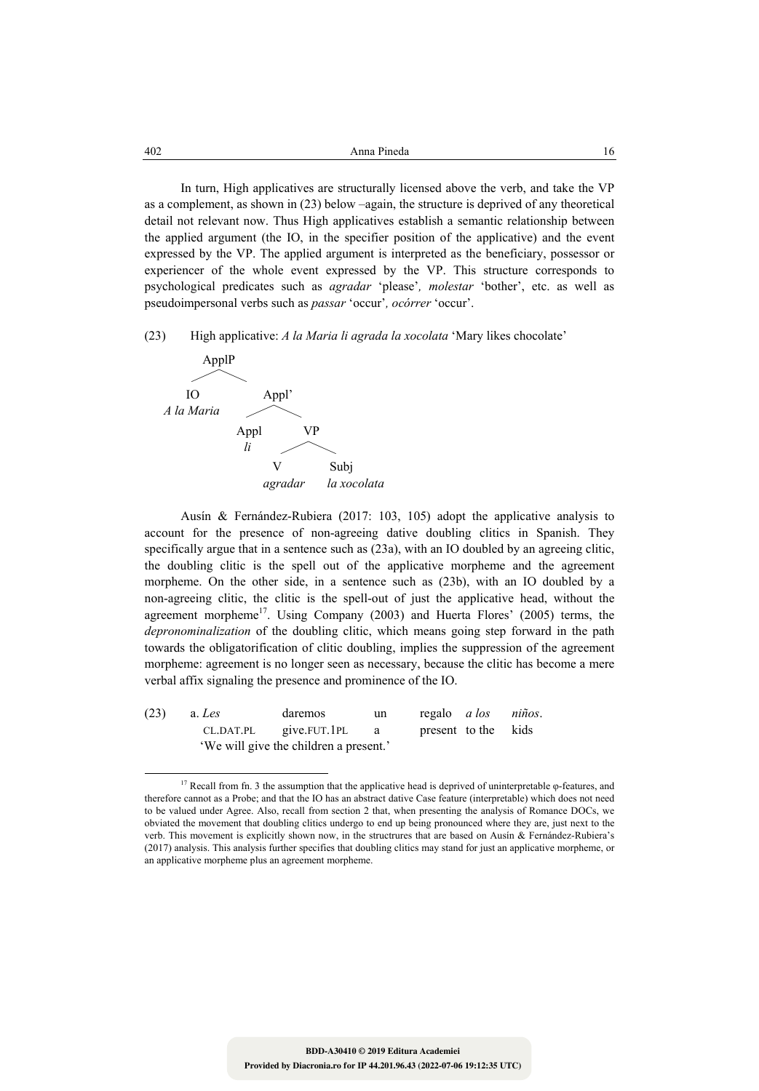| 402 | Anna Pineda<br>. |  |
|-----|------------------|--|
|     |                  |  |

In turn, High applicatives are structurally licensed above the verb, and take the VP as a complement, as shown in (23) below –again, the structure is deprived of any theoretical detail not relevant now. Thus High applicatives establish a semantic relationship between the applied argument (the IO, in the specifier position of the applicative) and the event expressed by the VP. The applied argument is interpreted as the beneficiary, possessor or experiencer of the whole event expressed by the VP. This structure corresponds to psychological predicates such as *agradar* 'please'*, molestar* 'bother', etc. as well as pseudoimpersonal verbs such as *passar* 'occur'*, ocórrer* 'occur'.

(23) High applicative: *A la Maria li agrada la xocolata* 'Mary likes chocolate'



Ausín & Fernández-Rubiera (2017: 103, 105) adopt the applicative analysis to account for the presence of non-agreeing dative doubling clitics in Spanish. They specifically argue that in a sentence such as (23a), with an IO doubled by an agreeing clitic, the doubling clitic is the spell out of the applicative morpheme and the agreement morpheme. On the other side, in a sentence such as (23b), with an IO doubled by a non-agreeing clitic, the clitic is the spell-out of just the applicative head, without the agreement morpheme<sup>17</sup>. Using Company (2003) and Huerta Flores' (2005) terms, the *depronominalization* of the doubling clitic, which means going step forward in the path towards the obligatorification of clitic doubling, implies the suppression of the agreement morpheme: agreement is no longer seen as necessary, because the clitic has become a mere verbal affix signaling the presence and prominence of the IO.

| (23) | a. <i>Les</i> | daremos                                | un  | regalo <i>a los niños</i> . |  |
|------|---------------|----------------------------------------|-----|-----------------------------|--|
|      |               | $CL.DAT.PL$ give. FUT. 1PL             | a a | present to the kids         |  |
|      |               | 'We will give the children a present.' |     |                             |  |

 <sup>17</sup> Recall from fn. 3 the assumption that the applicative head is deprived of uninterpretable  $\varphi$ -features, and therefore cannot as a Probe; and that the IO has an abstract dative Case feature (interpretable) which does not need to be valued under Agree. Also, recall from section 2 that, when presenting the analysis of Romance DOCs, we obviated the movement that doubling clitics undergo to end up being pronounced where they are, just next to the verb. This movement is explicitly shown now, in the structrures that are based on Ausín & Fernández-Rubiera's (2017) analysis. This analysis further specifies that doubling clitics may stand for just an applicative morpheme, or an applicative morpheme plus an agreement morpheme.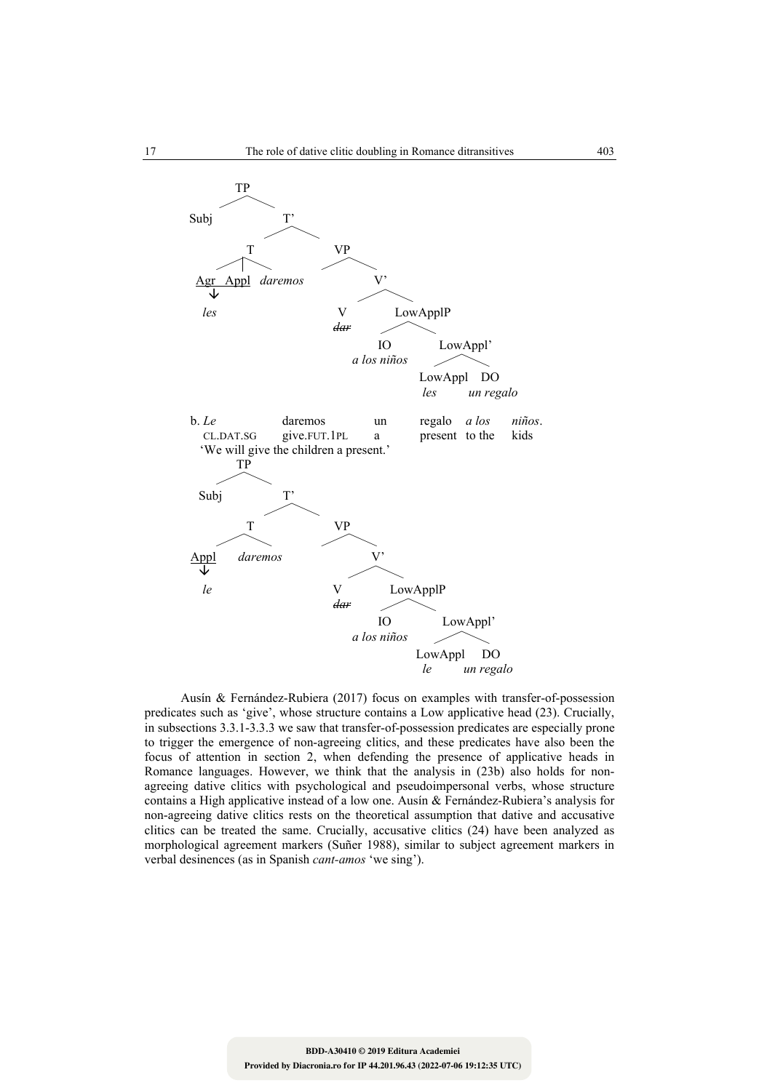

Ausín & Fernández-Rubiera (2017) focus on examples with transfer-of-possession predicates such as 'give', whose structure contains a Low applicative head (23). Crucially, in subsections 3.3.1-3.3.3 we saw that transfer-of-possession predicates are especially prone to trigger the emergence of non-agreeing clitics, and these predicates have also been the focus of attention in section 2, when defending the presence of applicative heads in Romance languages. However, we think that the analysis in (23b) also holds for nonagreeing dative clitics with psychological and pseudoimpersonal verbs, whose structure contains a High applicative instead of a low one. Ausín & Fernández-Rubiera's analysis for non-agreeing dative clitics rests on the theoretical assumption that dative and accusative clitics can be treated the same. Crucially, accusative clitics (24) have been analyzed as morphological agreement markers (Suñer 1988), similar to subject agreement markers in verbal desinences (as in Spanish *cant-amos* 'we sing').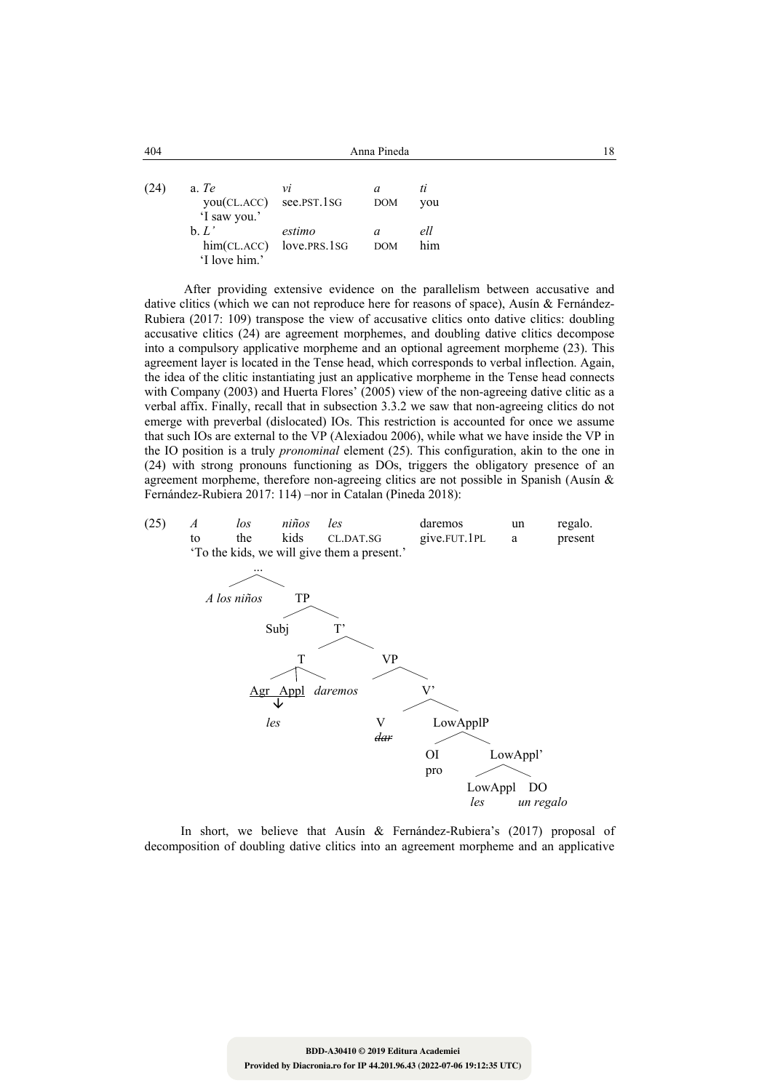| 404  |                                                  | 18                                    |                 |            |  |
|------|--------------------------------------------------|---------------------------------------|-----------------|------------|--|
| (24) | a. Te<br>you(CL.ACC) see.PST.1SG<br>'I saw you.' | νi                                    | a<br><b>DOM</b> | ti<br>you  |  |
|      | $\mathbf{b}$ . $L'$<br>'I love him.'             | estimo<br>$him(CLACC)$ love. PRS. 1SG | a<br><b>DOM</b> | ell<br>him |  |

 After providing extensive evidence on the parallelism between accusative and dative clitics (which we can not reproduce here for reasons of space), Ausín & Fernández-Rubiera (2017: 109) transpose the view of accusative clitics onto dative clitics: doubling accusative clitics (24) are agreement morphemes, and doubling dative clitics decompose into a compulsory applicative morpheme and an optional agreement morpheme (23). This agreement layer is located in the Tense head, which corresponds to verbal inflection. Again, the idea of the clitic instantiating just an applicative morpheme in the Tense head connects with Company (2003) and Huerta Flores' (2005) view of the non-agreeing dative clitic as a verbal affix. Finally, recall that in subsection 3.3.2 we saw that non-agreeing clitics do not emerge with preverbal (dislocated) IOs. This restriction is accounted for once we assume that such IOs are external to the VP (Alexiadou 2006), while what we have inside the VP in the IO position is a truly *pronominal* element (25). This configuration, akin to the one in (24) with strong pronouns functioning as DOs, triggers the obligatory presence of an agreement morpheme, therefore non-agreeing clitics are not possible in Spanish (Ausín & Fernández-Rubiera 2017: 114) –nor in Catalan (Pineda 2018):

(25) *A los niños les* daremos un regalo.



In short, we believe that Ausín & Fernández-Rubiera's (2017) proposal of decomposition of doubling dative clitics into an agreement morpheme and an applicative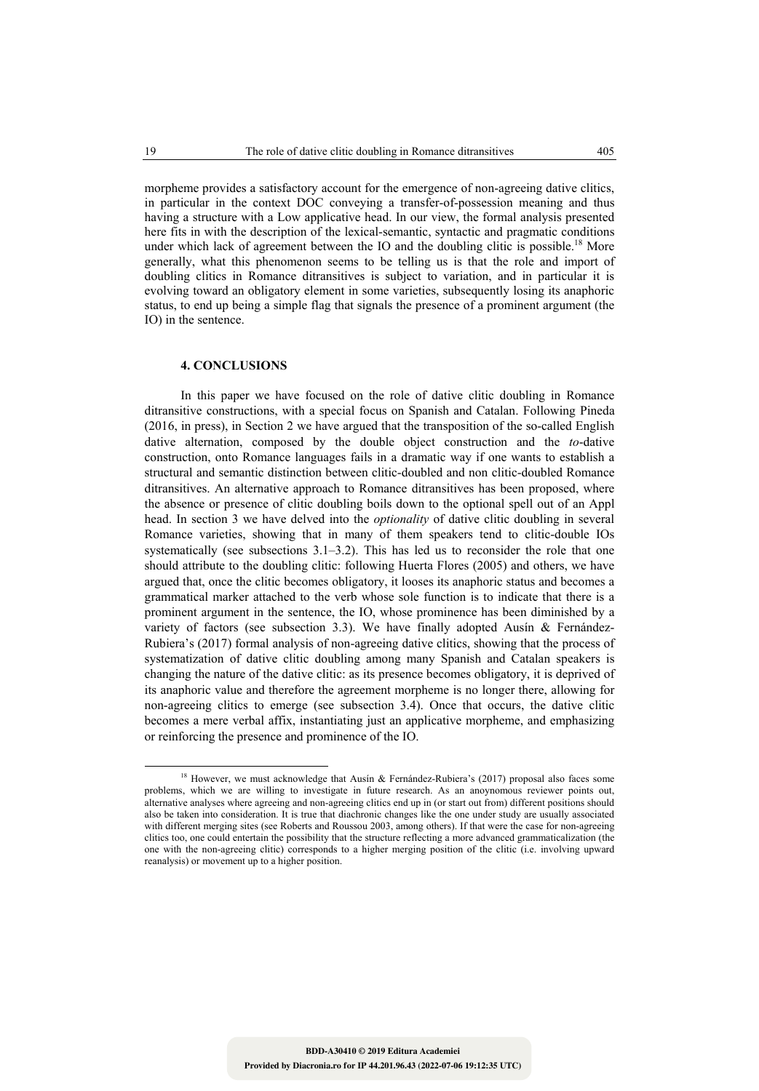morpheme provides a satisfactory account for the emergence of non-agreeing dative clitics, in particular in the context DOC conveying a transfer-of-possession meaning and thus having a structure with a Low applicative head. In our view, the formal analysis presented here fits in with the description of the lexical-semantic, syntactic and pragmatic conditions under which lack of agreement between the IO and the doubling clitic is possible.<sup>18</sup> More generally, what this phenomenon seems to be telling us is that the role and import of doubling clitics in Romance ditransitives is subject to variation, and in particular it is evolving toward an obligatory element in some varieties, subsequently losing its anaphoric status, to end up being a simple flag that signals the presence of a prominent argument (the IO) in the sentence.

### **4. CONCLUSIONS**

In this paper we have focused on the role of dative clitic doubling in Romance ditransitive constructions, with a special focus on Spanish and Catalan. Following Pineda (2016, in press), in Section 2 we have argued that the transposition of the so-called English dative alternation, composed by the double object construction and the *to*-dative construction, onto Romance languages fails in a dramatic way if one wants to establish a structural and semantic distinction between clitic-doubled and non clitic-doubled Romance ditransitives. An alternative approach to Romance ditransitives has been proposed, where the absence or presence of clitic doubling boils down to the optional spell out of an Appl head. In section 3 we have delved into the *optionality* of dative clitic doubling in several Romance varieties, showing that in many of them speakers tend to clitic-double IOs systematically (see subsections 3.1–3.2). This has led us to reconsider the role that one should attribute to the doubling clitic: following Huerta Flores (2005) and others, we have argued that, once the clitic becomes obligatory, it looses its anaphoric status and becomes a grammatical marker attached to the verb whose sole function is to indicate that there is a prominent argument in the sentence, the IO, whose prominence has been diminished by a variety of factors (see subsection 3.3). We have finally adopted Ausín  $\&$  Fernández-Rubiera's (2017) formal analysis of non-agreeing dative clitics, showing that the process of systematization of dative clitic doubling among many Spanish and Catalan speakers is changing the nature of the dative clitic: as its presence becomes obligatory, it is deprived of its anaphoric value and therefore the agreement morpheme is no longer there, allowing for non-agreeing clitics to emerge (see subsection 3.4). Once that occurs, the dative clitic becomes a mere verbal affix, instantiating just an applicative morpheme, and emphasizing or reinforcing the presence and prominence of the IO.

<sup>&</sup>lt;sup>18</sup> However, we must acknowledge that Ausín & Fernández-Rubiera's (2017) proposal also faces some problems, which we are willing to investigate in future research. As an anoynomous reviewer points out, alternative analyses where agreeing and non-agreeing clitics end up in (or start out from) different positions should also be taken into consideration. It is true that diachronic changes like the one under study are usually associated with different merging sites (see Roberts and Roussou 2003, among others). If that were the case for non-agreeing clitics too, one could entertain the possibility that the structure reflecting a more advanced grammaticalization (the one with the non-agreeing clitic) corresponds to a higher merging position of the clitic (i.e. involving upward reanalysis) or movement up to a higher position.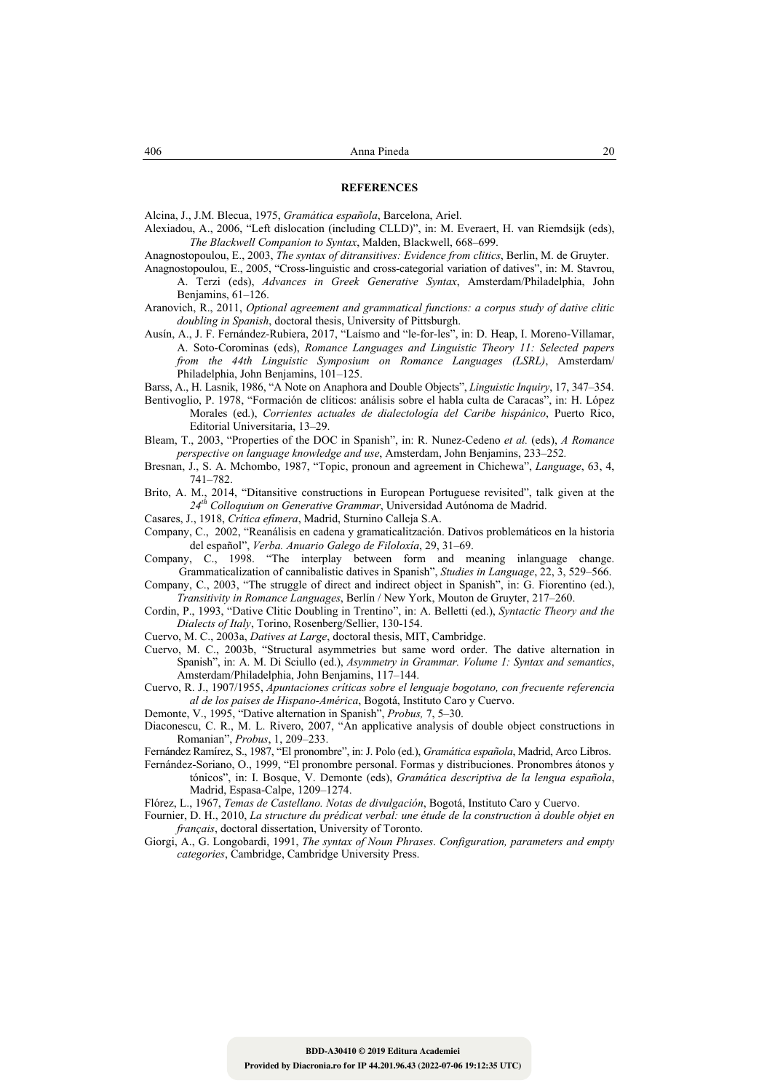#### **REFERENCES**

Alcina, J., J.M. Blecua, 1975, *Gramática española*, Barcelona, Ariel.

- Alexiadou, A., 2006, "Left dislocation (including CLLD)", in: M. Everaert, H. van Riemdsijk (eds), *The Blackwell Companion to Syntax*, Malden, Blackwell, 668–699.
- Anagnostopoulou, E., 2003, *The syntax of ditransitives: Evidence from clitics*, Berlin, M. de Gruyter.
- Anagnostopoulou, E., 2005, "Cross-linguistic and cross-categorial variation of datives", in: M. Stavrou, A. Terzi (eds), *Advances in Greek Generative Syntax*, Amsterdam/Philadelphia, John Benjamins, 61–126.
- Aranovich, R., 2011, *Optional agreement and grammatical functions: a corpus study of dative clitic doubling in Spanish*, doctoral thesis, University of Pittsburgh.
- Ausín, A., J. F. Fernández-Rubiera, 2017, "Laísmo and "le-for-les", in: D. Heap, I. Moreno-Villamar, A. Soto-Corominas (eds), *Romance Languages and Linguistic Theory 11: Selected papers from the 44th Linguistic Symposium on Romance Languages (LSRL)*, Amsterdam/ Philadelphia, John Benjamins, 101–125.
- Barss, A., H. Lasnik, 1986, "A Note on Anaphora and Double Objects", *Linguistic Inquiry*, 17, 347–354.
- Bentivoglio, P. 1978, "Formación de clíticos: análisis sobre el habla culta de Caracas", in: H. López Morales (ed.), *Corrientes actuales de dialectología del Caribe hispánico*, Puerto Rico, Editorial Universitaria, 13–29.
- Bleam, T., 2003, "Properties of the DOC in Spanish", in: R. Nunez-Cedeno *et al.* (eds), *A Romance perspective on language knowledge and use*, Amsterdam, John Benjamins, 233–252*.*
- Bresnan, J., S. A. Mchombo, 1987, "Topic, pronoun and agreement in Chichewa", *Language*, 63, 4, 741–782.
- Brito, A. M., 2014, "Ditansitive constructions in European Portuguese revisited", talk given at the *24th Colloquium on Generative Grammar*, Universidad Autónoma de Madrid.
- Casares, J., 1918, *Crítica efímera*, Madrid, Sturnino Calleja S.A.
- Company, C., 2002, "Reanálisis en cadena y gramaticalitzación. Dativos problemáticos en la historia del español", *Verba. Anuario Galego de Filoloxía*, 29, 31–69.
- Company, C., 1998. "The interplay between form and meaning inlanguage change. Grammaticalization of cannibalistic datives in Spanish", *Studies in Language*, 22, 3, 529–566.
- Company, C., 2003, "The struggle of direct and indirect object in Spanish", in: G. Fiorentino (ed.), *Transitivity in Romance Languages*, Berlín / New York, Mouton de Gruyter, 217–260.
- Cordin, P., 1993, "Dative Clitic Doubling in Trentino", in: A. Belletti (ed.), *Syntactic Theory and the Dialects of Italy*, Torino, Rosenberg/Sellier, 130-154.
- Cuervo, M. C., 2003a, *Datives at Large*, doctoral thesis, MIT, Cambridge.
- Cuervo, M. C., 2003b, "Structural asymmetries but same word order. The dative alternation in Spanish", in: A. M. Di Sciullo (ed.), *Asymmetry in Grammar. Volume 1: Syntax and semantics*, Amsterdam/Philadelphia, John Benjamins, 117–144.
- Cuervo, R. J., 1907/1955, *Apuntaciones críticas sobre el lenguaje bogotano, con frecuente referencia al de los paises de Hispano-América*, Bogotá, Instituto Caro y Cuervo.
- Demonte, V., 1995, "Dative alternation in Spanish", *Probus,* 7, 5–30.
- Diaconescu, C. R., M. L. Rivero, 2007, "An applicative analysis of double object constructions in Romanian", *Probus*, 1, 209–233.
- Fernández Ramírez, S., 1987, "El pronombre", in: J. Polo (ed.), *Gramática española*, Madrid, Arco Libros.
- Fernández-Soriano, O., 1999, "El pronombre personal. Formas y distribuciones. Pronombres átonos y tónicos", in: I. Bosque, V. Demonte (eds), *Gramática descriptiva de la lengua española*, Madrid, Espasa-Calpe, 1209–1274.
- Flórez, L., 1967, *Temas de Castellano. Notas de divulgación*, Bogotá, Instituto Caro y Cuervo.
- Fournier, D. H., 2010, *La structure du prédicat verbal: une étude de la construction à double objet en français*, doctoral dissertation, University of Toronto.
- Giorgi, A., G. Longobardi, 1991, *The syntax of Noun Phrases*. *Configuration, parameters and empty categories*, Cambridge, Cambridge University Press.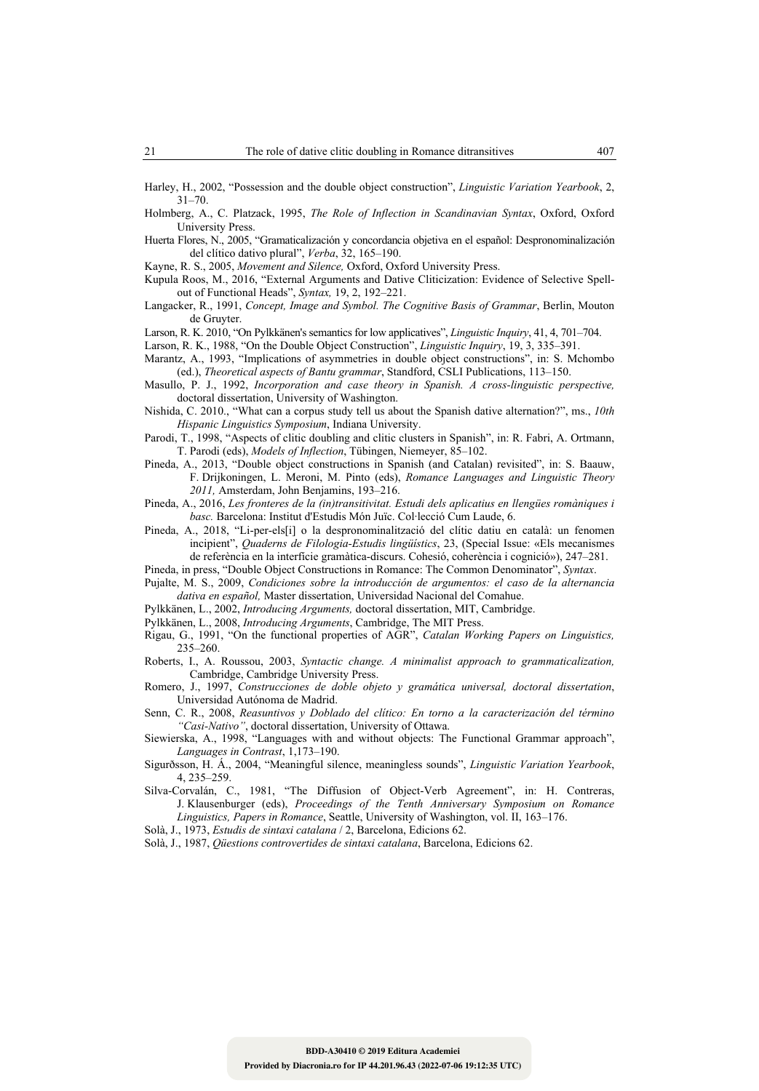Harley, H., 2002, "Possession and the double object construction", *Linguistic Variation Yearbook*, 2,  $31 - 70$ .

- Holmberg, A., C. Platzack, 1995, *The Role of Inflection in Scandinavian Syntax*, Oxford, Oxford University Press.
- Huerta Flores, N., 2005, "Gramaticalización y concordancia objetiva en el español: Despronominalización del clítico dativo plural", *Verba*, 32, 165–190.

Kayne, R. S., 2005, *Movement and Silence,* Oxford, Oxford University Press.

- Kupula Roos, M., 2016, "External Arguments and Dative Cliticization: Evidence of Selective Spellout of Functional Heads", *Syntax,* 19, 2, 192–221.
- Langacker, R., 1991, *Concept, Image and Symbol. The Cognitive Basis of Grammar*, Berlin, Mouton de Gruyter.

Larson, R. K. 2010, "On Pylkkänen's semantics for low applicatives", *Linguistic Inquiry*, 41, 4, 701–704.

Larson, R. K., 1988, "On the Double Object Construction", *Linguistic Inquiry*, 19, 3, 335–391.

- Marantz, A., 1993, "Implications of asymmetries in double object constructions", in: S. Mchombo (ed.), *Theoretical aspects of Bantu grammar*, Standford, CSLI Publications, 113–150.
- Masullo, P. J., 1992, *Incorporation and case theory in Spanish. A cross-linguistic perspective,* doctoral dissertation, University of Washington.
- Nishida, C. 2010., "What can a corpus study tell us about the Spanish dative alternation?", ms., *10th Hispanic Linguistics Symposium*, Indiana University.
- Parodi, T., 1998, "Aspects of clitic doubling and clitic clusters in Spanish", in: R. Fabri, A. Ortmann, T. Parodi (eds), *Models of Inflection*, Tübingen, Niemeyer, 85–102.
- Pineda, A., 2013, "Double object constructions in Spanish (and Catalan) revisited", in: S. Baauw, F. Drijkoningen, L. Meroni, M. Pinto (eds), *Romance Languages and Linguistic Theory 2011,* Amsterdam, John Benjamins, 193–216.
- Pineda, A., 2016, *Les fronteres de la (in)transitivitat. Estudi dels aplicatius en llengües romàniques i basc.* Barcelona: Institut d'Estudis Món Juïc. Col·lecció Cum Laude, 6.
- Pineda, A., 2018, "Li-per-els[i] o la despronominalització del clític datiu en català: un fenomen incipient", *Quaderns de Filologia-Estudis lingüístics*, 23, (Special Issue: «Els mecanismes de referència en la interfície gramàtica-discurs. Cohesió, coherència i cognició»), 247–281.
- Pineda, in press, "Double Object Constructions in Romance: The Common Denominator", *Syntax*.
- Pujalte, M. S., 2009, *Condiciones sobre la introducción de argumentos: el caso de la alternancia dativa en español,* Master dissertation, Universidad Nacional del Comahue.
- Pylkkänen, L., 2002, *Introducing Arguments,* doctoral dissertation, MIT, Cambridge.
- Pylkkänen, L., 2008, *Introducing Arguments*, Cambridge, The MIT Press.
- Rigau, G., 1991, "On the functional properties of AGR", *Catalan Working Papers on Linguistics,* 235–260.
- Roberts, I., A. Roussou, 2003, *Syntactic change. A minimalist approach to grammaticalization,*  Cambridge, Cambridge University Press.
- Romero, J., 1997, *Construcciones de doble objeto y gramática universal, doctoral dissertation*, Universidad Autónoma de Madrid.
- Senn, C. R., 2008, *Reasuntivos y Doblado del clítico: En torno a la caracterización del término "Casi-Nativo"*, doctoral dissertation, University of Ottawa.
- Siewierska, A., 1998, "Languages with and without objects: The Functional Grammar approach", *Languages in Contrast*, 1,173–190.
- Sigurðsson, H. Á., 2004, "Meaningful silence, meaningless sounds", *Linguistic Variation Yearbook*, 4, 235–259.
- Silva-Corvalán, C., 1981, "The Diffusion of Object-Verb Agreement", in: H. Contreras, J. Klausenburger (eds), *Proceedings of the Tenth Anniversary Symposium on Romance Linguistics, Papers in Romance*, Seattle, University of Washington, vol. II, 163–176.
- Solà, J., 1973, *Estudis de sintaxi catalana* / 2, Barcelona, Edicions 62.
- Solà, J., 1987, *Qüestions controvertides de sintaxi catalana*, Barcelona, Edicions 62.